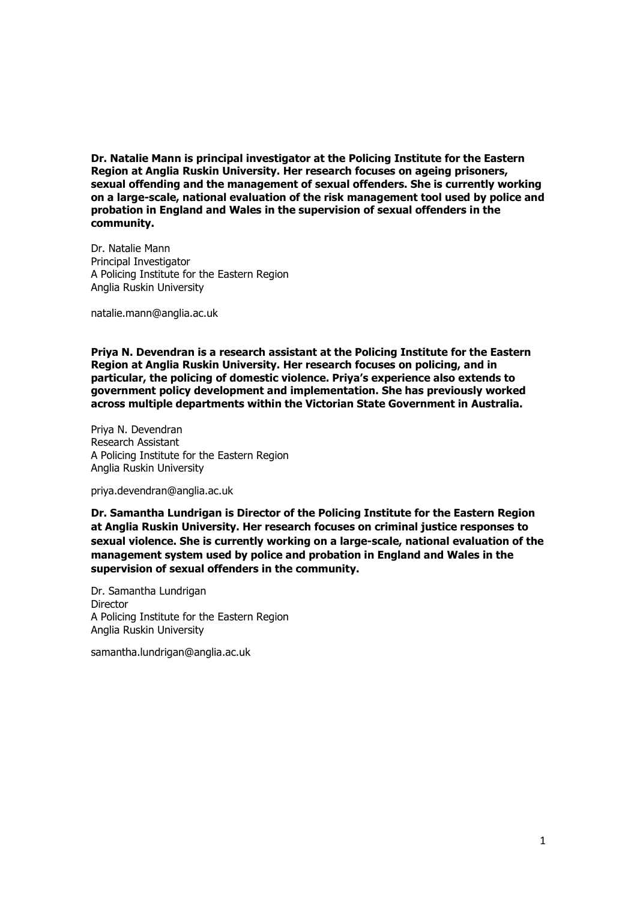**Dr. Natalie Mann is principal investigator at the Policing Institute for the Eastern Region at Anglia Ruskin University. Her research focuses on ageing prisoners, sexual offending and the management of sexual offenders. She is currently working on a large-scale, national evaluation of the risk management tool used by police and probation in England and Wales in the supervision of sexual offenders in the community.**

Dr. Natalie Mann Principal Investigator A Policing Institute for the Eastern Region Anglia Ruskin University

natalie.mann@anglia.ac.uk

**Priya N. Devendran is a research assistant at the Policing Institute for the Eastern Region at Anglia Ruskin University. Her research focuses on policing, and in particular, the policing of domestic violence. Priya's experience also extends to government policy development and implementation. She has previously worked across multiple departments within the Victorian State Government in Australia.**

Priya N. Devendran Research Assistant A Policing Institute for the Eastern Region Anglia Ruskin University

priya.devendran@anglia.ac.uk

**Dr. Samantha Lundrigan is Director of the Policing Institute for the Eastern Region at Anglia Ruskin University. Her research focuses on criminal justice responses to sexual violence. She is currently working on a large-scale, national evaluation of the management system used by police and probation in England and Wales in the supervision of sexual offenders in the community.**

Dr. Samantha Lundrigan **Director** A Policing Institute for the Eastern Region Anglia Ruskin University

samantha.lundrigan@anglia.ac.uk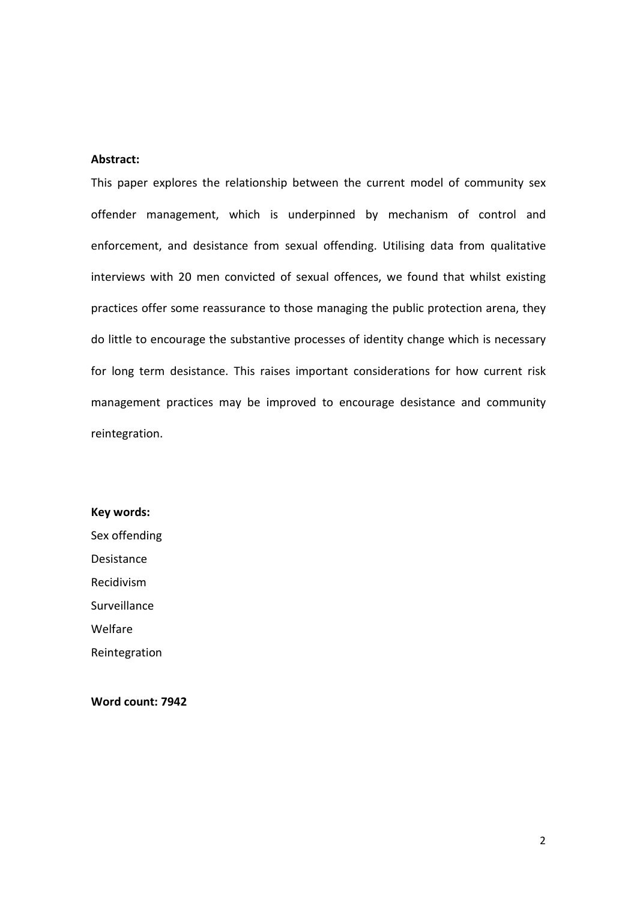## **Abstract:**

This paper explores the relationship between the current model of community sex offender management, which is underpinned by mechanism of control and enforcement, and desistance from sexual offending. Utilising data from qualitative interviews with 20 men convicted of sexual offences, we found that whilst existing practices offer some reassurance to those managing the public protection arena, they do little to encourage the substantive processes of identity change which is necessary for long term desistance. This raises important considerations for how current risk management practices may be improved to encourage desistance and community reintegration.

**Key words:** Sex offending Desistance Recidivism Surveillance Welfare Reintegration

**Word count: 7942**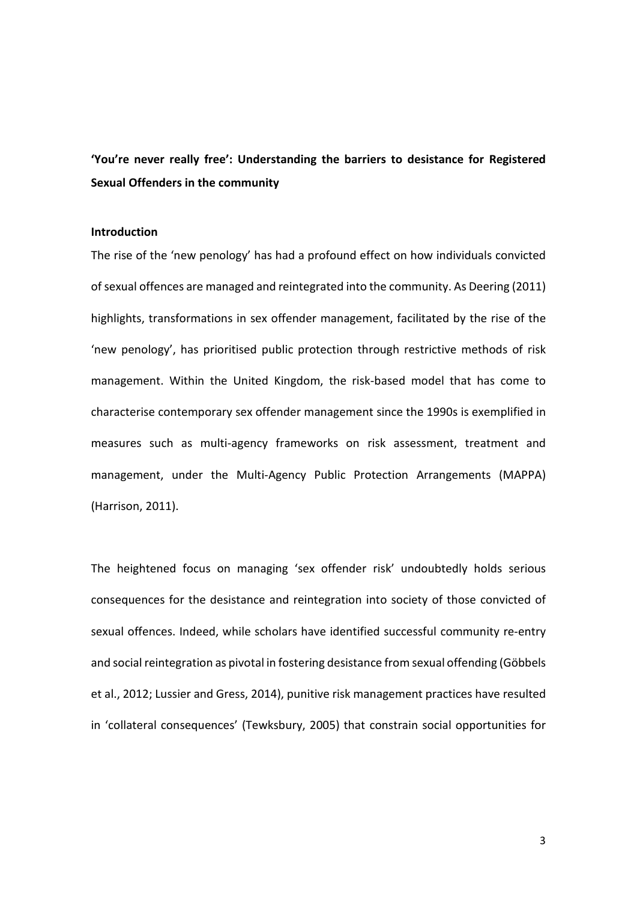**'You're never really free': Understanding the barriers to desistance for Registered Sexual Offenders in the community** 

## **Introduction**

The rise of the 'new penology' has had a profound effect on how individuals convicted of sexual offences are managed and reintegrated into the community. As Deering (2011) highlights, transformations in sex offender management, facilitated by the rise of the 'new penology', has prioritised public protection through restrictive methods of risk management. Within the United Kingdom, the risk-based model that has come to characterise contemporary sex offender management since the 1990s is exemplified in measures such as multi-agency frameworks on risk assessment, treatment and management, under the Multi-Agency Public Protection Arrangements (MAPPA) (Harrison, 2011).

The heightened focus on managing 'sex offender risk' undoubtedly holds serious consequences for the desistance and reintegration into society of those convicted of sexual offences. Indeed, while scholars have identified successful community re-entry and social reintegration as pivotal in fostering desistance from sexual offending (Göbbels et al., 2012; Lussier and Gress, 2014), punitive risk management practices have resulted in 'collateral consequences' (Tewksbury, 2005) that constrain social opportunities for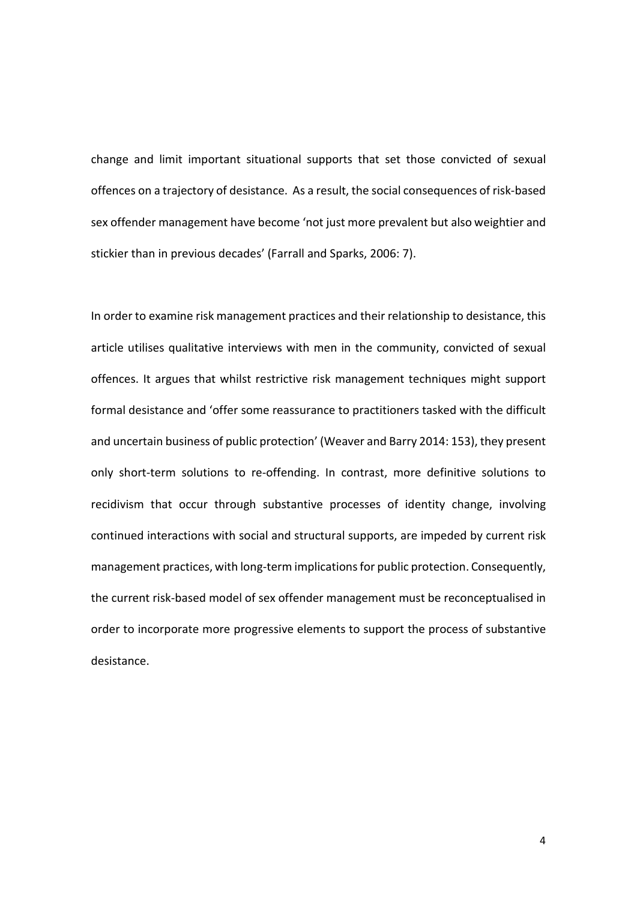change and limit important situational supports that set those convicted of sexual offences on a trajectory of desistance. As a result, the social consequences of risk-based sex offender management have become 'not just more prevalent but also weightier and stickier than in previous decades' (Farrall and Sparks, 2006: 7).

In order to examine risk management practices and their relationship to desistance, this article utilises qualitative interviews with men in the community, convicted of sexual offences. It argues that whilst restrictive risk management techniques might support formal desistance and 'offer some reassurance to practitioners tasked with the difficult and uncertain business of public protection' (Weaver and Barry 2014: 153), they present only short-term solutions to re-offending. In contrast, more definitive solutions to recidivism that occur through substantive processes of identity change, involving continued interactions with social and structural supports, are impeded by current risk management practices, with long-term implications for public protection. Consequently, the current risk-based model of sex offender management must be reconceptualised in order to incorporate more progressive elements to support the process of substantive desistance.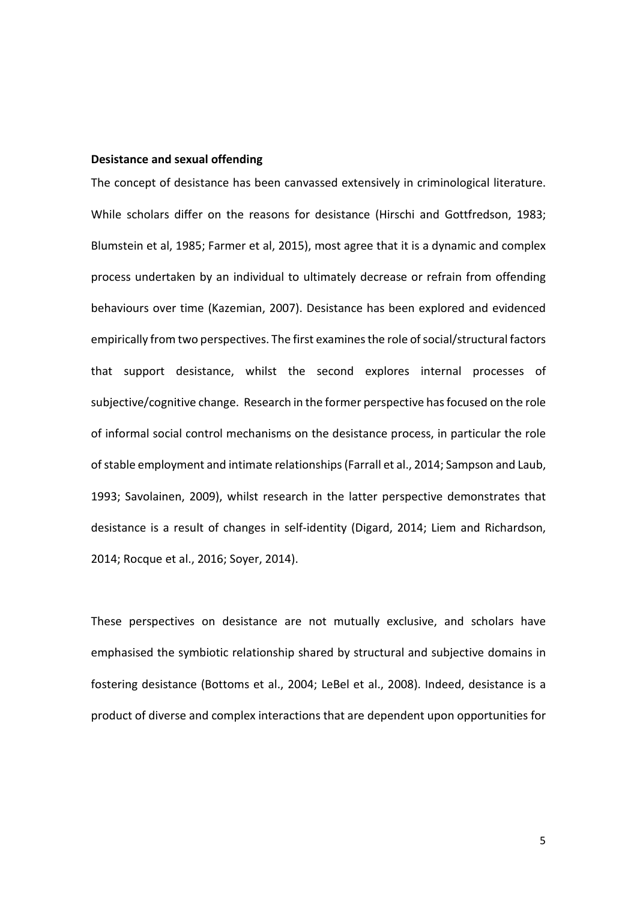## **Desistance and sexual offending**

The concept of desistance has been canvassed extensively in criminological literature. While scholars differ on the reasons for desistance (Hirschi and Gottfredson, 1983; Blumstein et al, 1985; Farmer et al, 2015), most agree that it is a dynamic and complex process undertaken by an individual to ultimately decrease or refrain from offending behaviours over time (Kazemian, 2007). Desistance has been explored and evidenced empirically from two perspectives. The first examines the role of social/structural factors that support desistance, whilst the second explores internal processes of subjective/cognitive change. Research in the former perspective has focused on the role of informal social control mechanisms on the desistance process, in particular the role of stable employment and intimate relationships (Farrall et al., 2014; Sampson and Laub, 1993; Savolainen, 2009), whilst research in the latter perspective demonstrates that desistance is a result of changes in self-identity (Digard, 2014; Liem and Richardson, 2014; Rocque et al., 2016; Soyer, 2014).

These perspectives on desistance are not mutually exclusive, and scholars have emphasised the symbiotic relationship shared by structural and subjective domains in fostering desistance (Bottoms et al., 2004; LeBel et al., 2008). Indeed, desistance is a product of diverse and complex interactions that are dependent upon opportunities for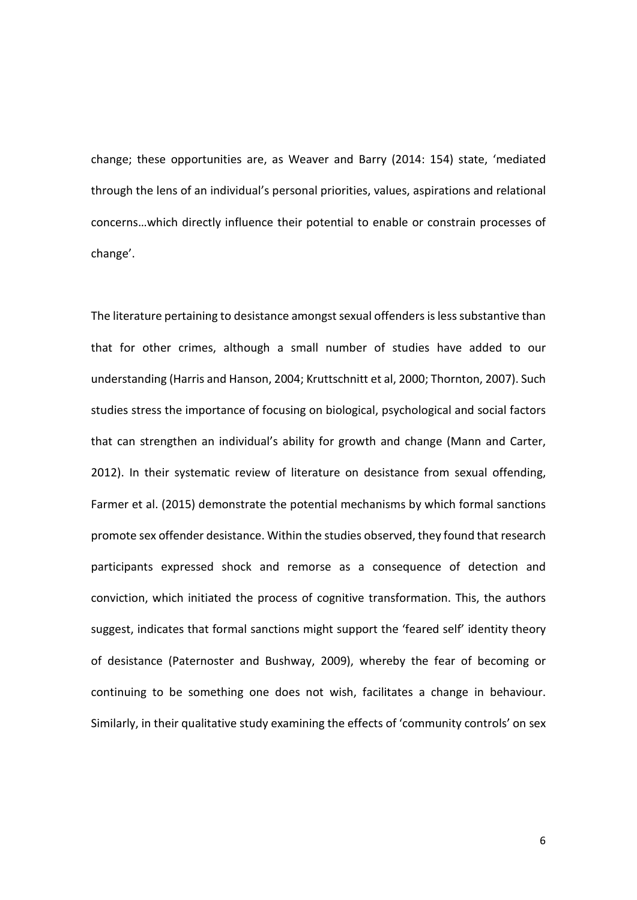change; these opportunities are, as Weaver and Barry (2014: 154) state, 'mediated through the lens of an individual's personal priorities, values, aspirations and relational concerns…which directly influence their potential to enable or constrain processes of change'.

The literature pertaining to desistance amongst sexual offenders is less substantive than that for other crimes, although a small number of studies have added to our understanding (Harris and Hanson, 2004; Kruttschnitt et al, 2000; Thornton, 2007). Such studies stress the importance of focusing on biological, psychological and social factors that can strengthen an individual's ability for growth and change (Mann and Carter, 2012). In their systematic review of literature on desistance from sexual offending, Farmer et al. (2015) demonstrate the potential mechanisms by which formal sanctions promote sex offender desistance. Within the studies observed, they found that research participants expressed shock and remorse as a consequence of detection and conviction, which initiated the process of cognitive transformation. This, the authors suggest, indicates that formal sanctions might support the 'feared self' identity theory of desistance (Paternoster and Bushway, 2009), whereby the fear of becoming or continuing to be something one does not wish, facilitates a change in behaviour. Similarly, in their qualitative study examining the effects of 'community controls' on sex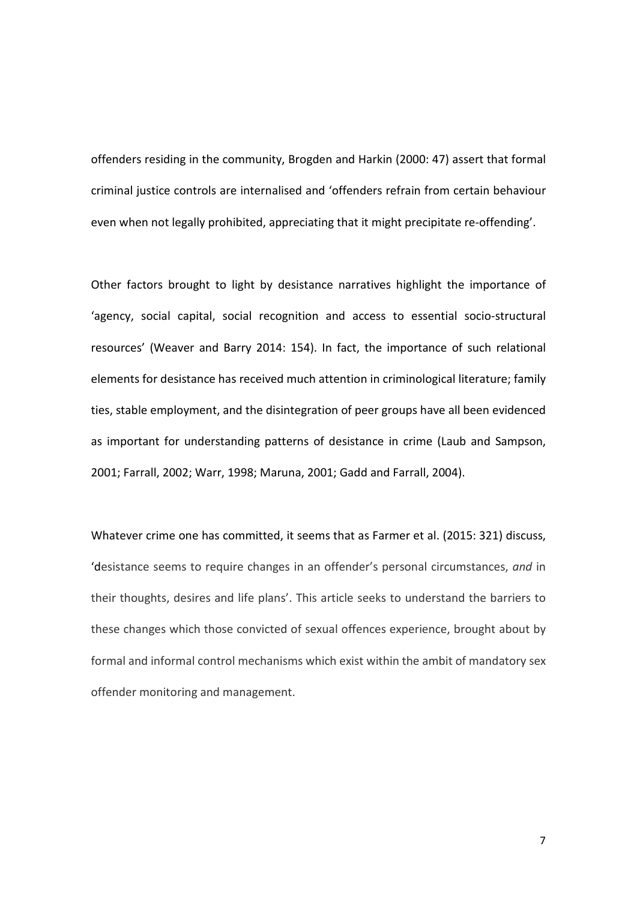offenders residing in the community, Brogden and Harkin (2000: 47) assert that formal criminal justice controls are internalised and 'offenders refrain from certain behaviour even when not legally prohibited, appreciating that it might precipitate re-offending'.

Other factors brought to light by desistance narratives highlight the importance of 'agency, social capital, social recognition and access to essential socio-structural resources' (Weaver and Barry 2014: 154). In fact, the importance of such relational elements for desistance has received much attention in criminological literature; family ties, stable employment, and the disintegration of peer groups have all been evidenced as important for understanding patterns of desistance in crime (Laub and Sampson, 2001; Farrall, 2002; Warr, 1998; Maruna, 2001; Gadd and Farrall, 2004).

Whatever crime one has committed, it seems that as Farmer et al. (2015: 321) discuss, 'desistance seems to require changes in an offender's personal circumstances, *and* in their thoughts, desires and life plans'. This article seeks to understand the barriers to these changes which those convicted of sexual offences experience, brought about by formal and informal control mechanisms which exist within the ambit of mandatory sex offender monitoring and management.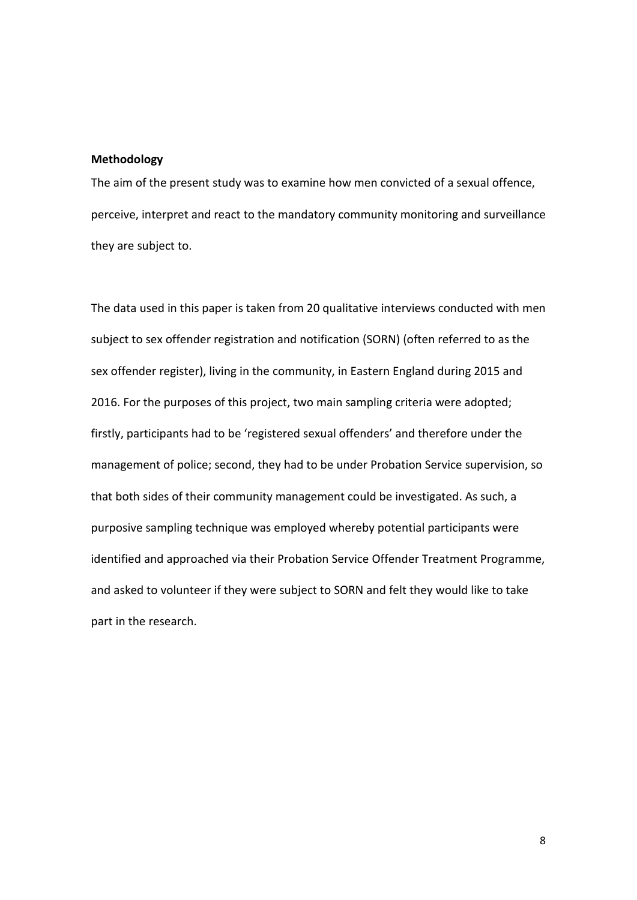## **Methodology**

The aim of the present study was to examine how men convicted of a sexual offence, perceive, interpret and react to the mandatory community monitoring and surveillance they are subject to.

The data used in this paper is taken from 20 qualitative interviews conducted with men subject to sex offender registration and notification (SORN) (often referred to as the sex offender register), living in the community, in Eastern England during 2015 and 2016. For the purposes of this project, two main sampling criteria were adopted; firstly, participants had to be 'registered sexual offenders' and therefore under the management of police; second, they had to be under Probation Service supervision, so that both sides of their community management could be investigated. As such, a purposive sampling technique was employed whereby potential participants were identified and approached via their Probation Service Offender Treatment Programme, and asked to volunteer if they were subject to SORN and felt they would like to take part in the research.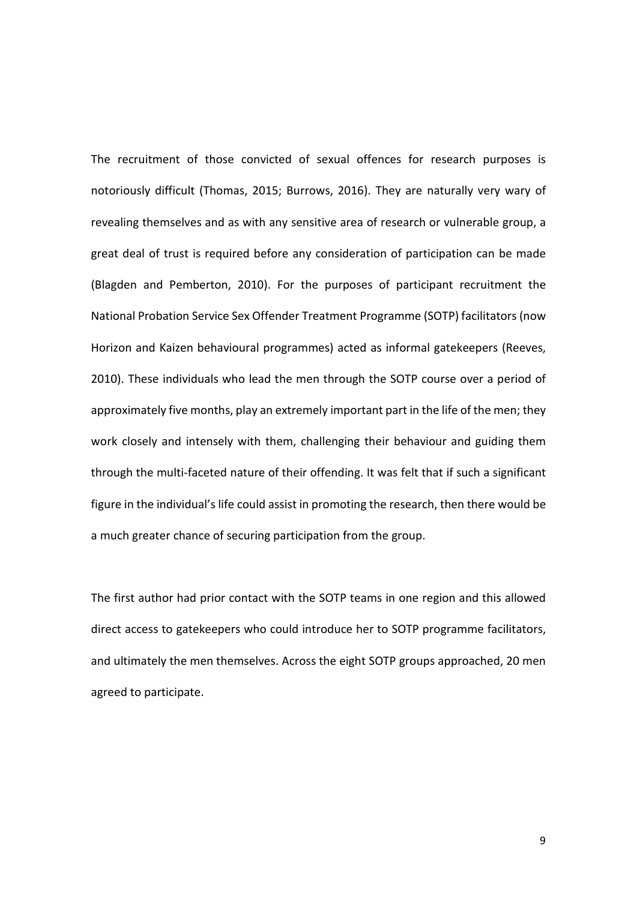The recruitment of those convicted of sexual offences for research purposes is notoriously difficult (Thomas, 2015; Burrows, 2016). They are naturally very wary of revealing themselves and as with any sensitive area of research or vulnerable group, a great deal of trust is required before any consideration of participation can be made (Blagden and Pemberton, 2010). For the purposes of participant recruitment the National Probation Service Sex Offender Treatment Programme (SOTP) facilitators (now Horizon and Kaizen behavioural programmes) acted as informal gatekeepers (Reeves, 2010). These individuals who lead the men through the SOTP course over a period of approximately five months, play an extremely important part in the life of the men; they work closely and intensely with them, challenging their behaviour and guiding them through the multi-faceted nature of their offending. It was felt that if such a significant figure in the individual's life could assist in promoting the research, then there would be a much greater chance of securing participation from the group.

The first author had prior contact with the SOTP teams in one region and this allowed direct access to gatekeepers who could introduce her to SOTP programme facilitators, and ultimately the men themselves. Across the eight SOTP groups approached, 20 men agreed to participate.

9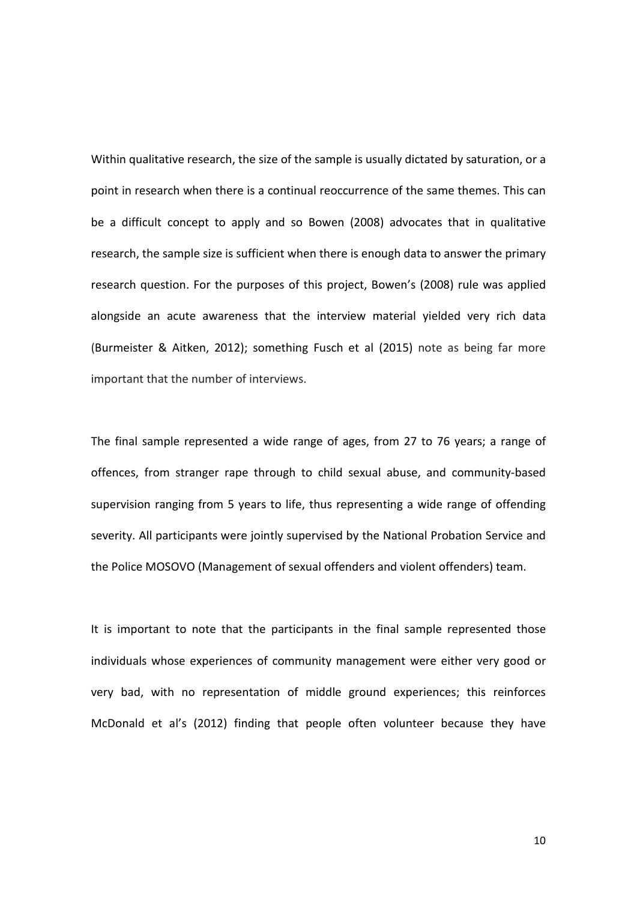Within qualitative research, the size of the sample is usually dictated by saturation, or a point in research when there is a continual reoccurrence of the same themes. This can be a difficult concept to apply and so Bowen (2008) advocates that in qualitative research, the sample size is sufficient when there is enough data to answer the primary research question. For the purposes of this project, Bowen's (2008) rule was applied alongside an acute awareness that the interview material yielded very rich data [\(Burmeister & Aitken, 2012\)](http://www.australiancriticalcare.com/article/S1036-7314(12)00084-7/abstract); something [Fusch et al \(2015\)](http://tqr.nova.edu/wp-content/uploads/2015/09/fusch1.pdf) note as being far more important that the number of interviews.

The final sample represented a wide range of ages, from 27 to 76 years; a range of offences, from stranger rape through to child sexual abuse, and community-based supervision ranging from 5 years to life, thus representing a wide range of offending severity. All participants were jointly supervised by the National Probation Service and the Police MOSOVO (Management of sexual offenders and violent offenders) team.

It is important to note that the participants in the final sample represented those individuals whose experiences of community management were either very good or very bad, with no representation of middle ground experiences; this reinforces McDonald et al's (2012) finding that people often volunteer because they have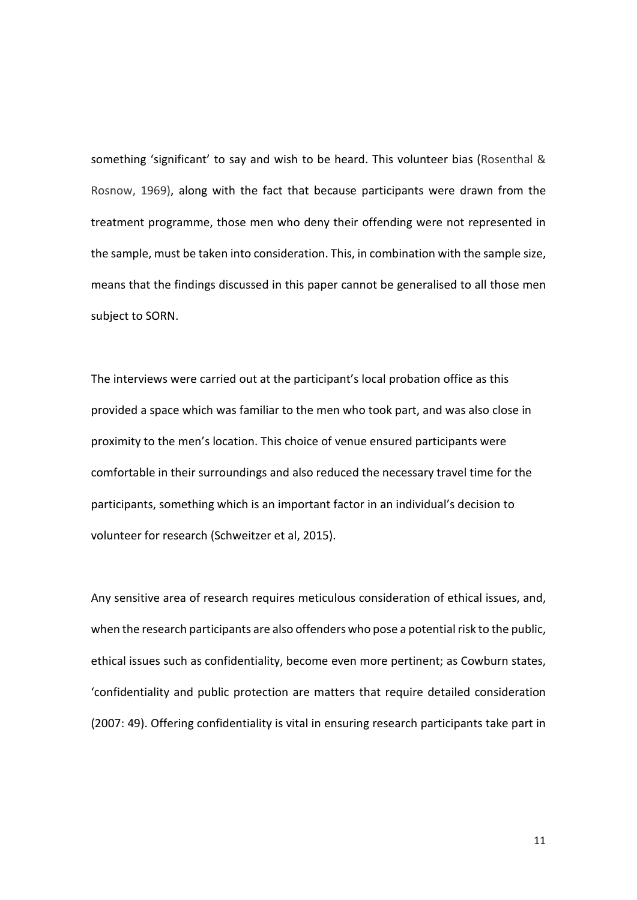something 'significant' to say and wish to be heard. This volunteer bias (Rosenthal & Rosnow, 1969), along with the fact that because participants were drawn from the treatment programme, those men who deny their offending were not represented in the sample, must be taken into consideration. This, in combination with the sample size, means that the findings discussed in this paper cannot be generalised to all those men subject to SORN.

The interviews were carried out at the participant's local probation office as this provided a space which was familiar to the men who took part, and was also close in proximity to the men's location. This choice of venue ensured participants were comfortable in their surroundings and also reduced the necessary travel time for the participants, something which is an important factor in an individual's decision to volunteer for research (Schweitzer et al, 2015).

Any sensitive area of research requires meticulous consideration of ethical issues, and, when the research participants are also offenders who pose a potential risk to the public, ethical issues such as confidentiality, become even more pertinent; as Cowburn states, 'confidentiality and public protection are matters that require detailed consideration (2007: 49). Offering confidentiality is vital in ensuring research participants take part in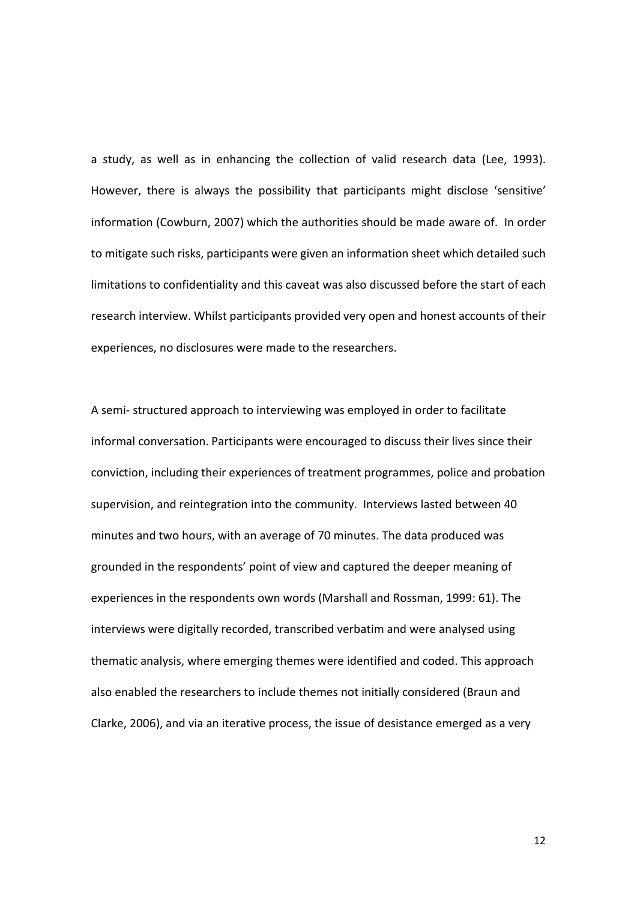a study, as well as in enhancing the collection of valid research data (Lee, 1993). However, there is always the possibility that participants might disclose 'sensitive' information (Cowburn, 2007) which the authorities should be made aware of. In order to mitigate such risks, participants were given an information sheet which detailed such limitations to confidentiality and this caveat was also discussed before the start of each research interview. Whilst participants provided very open and honest accounts of their experiences, no disclosures were made to the researchers.

A semi- structured approach to interviewing was employed in order to facilitate informal conversation. Participants were encouraged to discuss their lives since their conviction, including their experiences of treatment programmes, police and probation supervision, and reintegration into the community. Interviews lasted between 40 minutes and two hours, with an average of 70 minutes. The data produced was grounded in the respondents' point of view and captured the deeper meaning of experiences in the respondents own words (Marshall and Rossman, 1999: 61). The interviews were digitally recorded, transcribed verbatim and were analysed using thematic analysis, where emerging themes were identified and coded. This approach also enabled the researchers to include themes not initially considered (Braun and Clarke, 2006), and via an iterative process, the issue of desistance emerged as a very

12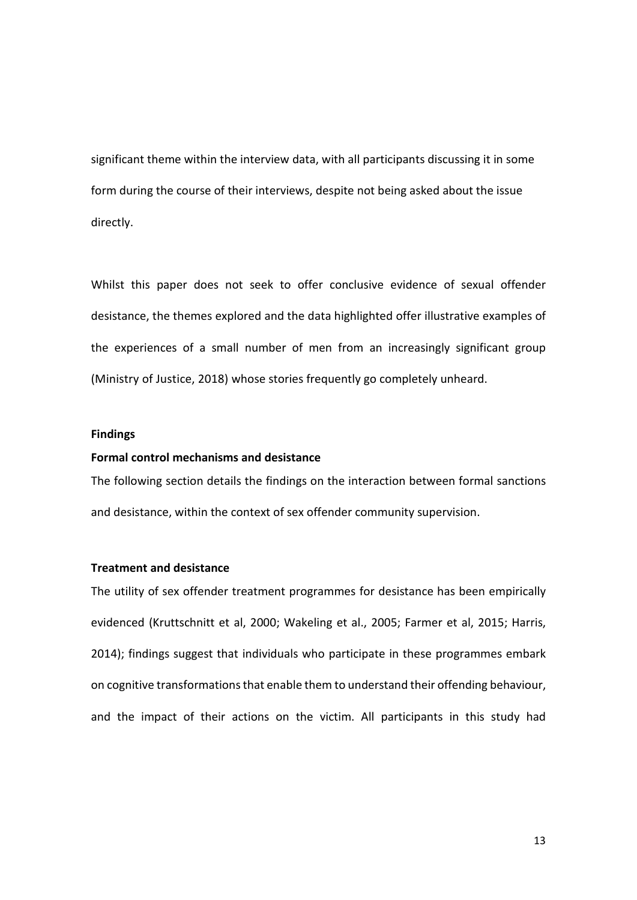significant theme within the interview data, with all participants discussing it in some form during the course of their interviews, despite not being asked about the issue directly.

Whilst this paper does not seek to offer conclusive evidence of sexual offender desistance, the themes explored and the data highlighted offer illustrative examples of the experiences of a small number of men from an increasingly significant group (Ministry of Justice, 2018) whose stories frequently go completely unheard.

## **Findings**

## **Formal control mechanisms and desistance**

The following section details the findings on the interaction between formal sanctions and desistance, within the context of sex offender community supervision.

## **Treatment and desistance**

The utility of sex offender treatment programmes for desistance has been empirically evidenced (Kruttschnitt et al, 2000; Wakeling et al., 2005; Farmer et al, 2015; Harris, 2014); findings suggest that individuals who participate in these programmes embark on cognitive transformations that enable them to understand their offending behaviour, and the impact of their actions on the victim. All participants in this study had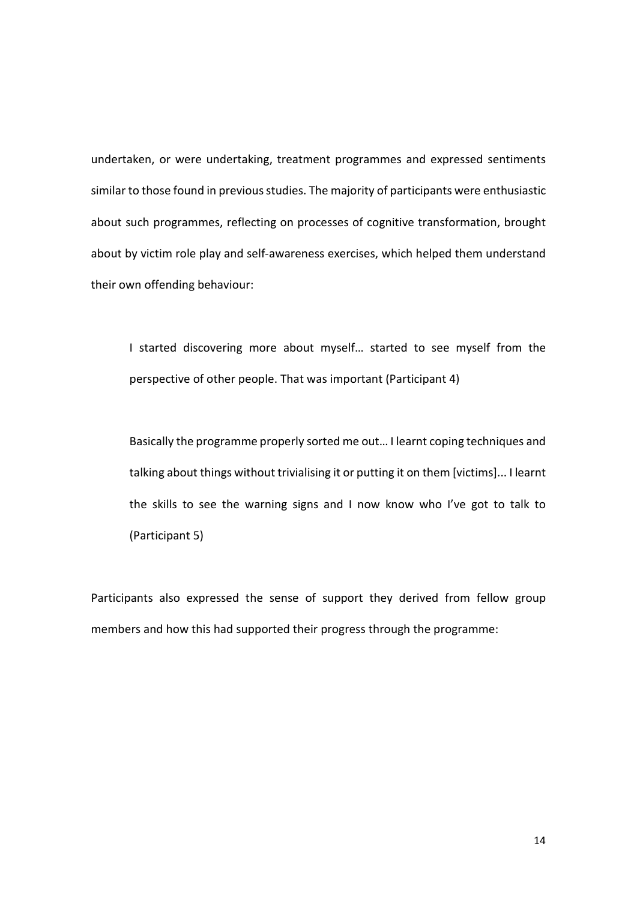undertaken, or were undertaking, treatment programmes and expressed sentiments similar to those found in previous studies. The majority of participants were enthusiastic about such programmes, reflecting on processes of cognitive transformation, brought about by victim role play and self-awareness exercises, which helped them understand their own offending behaviour:

I started discovering more about myself… started to see myself from the perspective of other people. That was important (Participant 4)

Basically the programme properly sorted me out… I learnt coping techniques and talking about things without trivialising it or putting it on them [victims]... I learnt the skills to see the warning signs and I now know who I've got to talk to (Participant 5)

Participants also expressed the sense of support they derived from fellow group members and how this had supported their progress through the programme: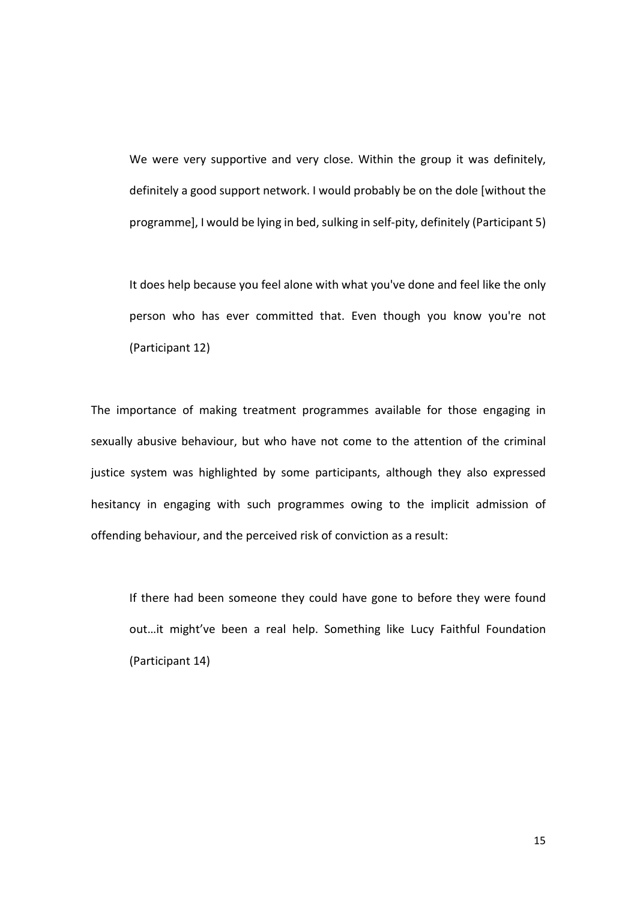We were very supportive and very close. Within the group it was definitely, definitely a good support network. I would probably be on the dole [without the programme], I would be lying in bed, sulking in self-pity, definitely (Participant 5)

It does help because you feel alone with what you've done and feel like the only person who has ever committed that. Even though you know you're not (Participant 12)

The importance of making treatment programmes available for those engaging in sexually abusive behaviour, but who have not come to the attention of the criminal justice system was highlighted by some participants, although they also expressed hesitancy in engaging with such programmes owing to the implicit admission of offending behaviour, and the perceived risk of conviction as a result:

If there had been someone they could have gone to before they were found out…it might've been a real help. Something like Lucy Faithful Foundation (Participant 14)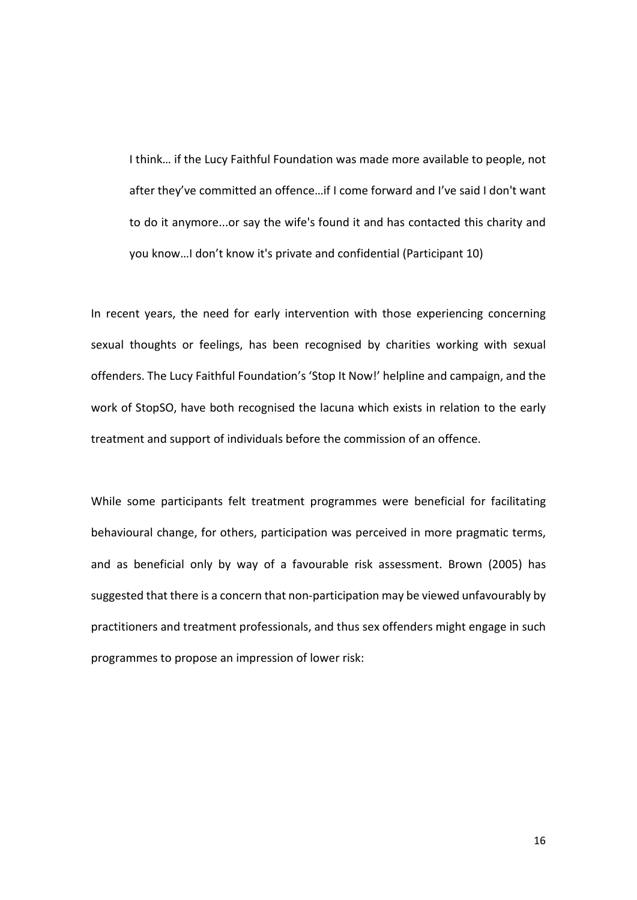I think… if the Lucy Faithful Foundation was made more available to people, not after they've committed an offence…if I come forward and I've said I don't want to do it anymore...or say the wife's found it and has contacted this charity and you know…I don't know it's private and confidential (Participant 10)

In recent years, the need for early intervention with those experiencing concerning sexual thoughts or feelings, has been recognised by charities working with sexual offenders. The Lucy Faithful Foundation's 'Stop It Now!' helpline and campaign, and the work of StopSO, have both recognised the lacuna which exists in relation to the early treatment and support of individuals before the commission of an offence.

While some participants felt treatment programmes were beneficial for facilitating behavioural change, for others, participation was perceived in more pragmatic terms, and as beneficial only by way of a favourable risk assessment. Brown (2005) has suggested that there is a concern that non-participation may be viewed unfavourably by practitioners and treatment professionals, and thus sex offenders might engage in such programmes to propose an impression of lower risk: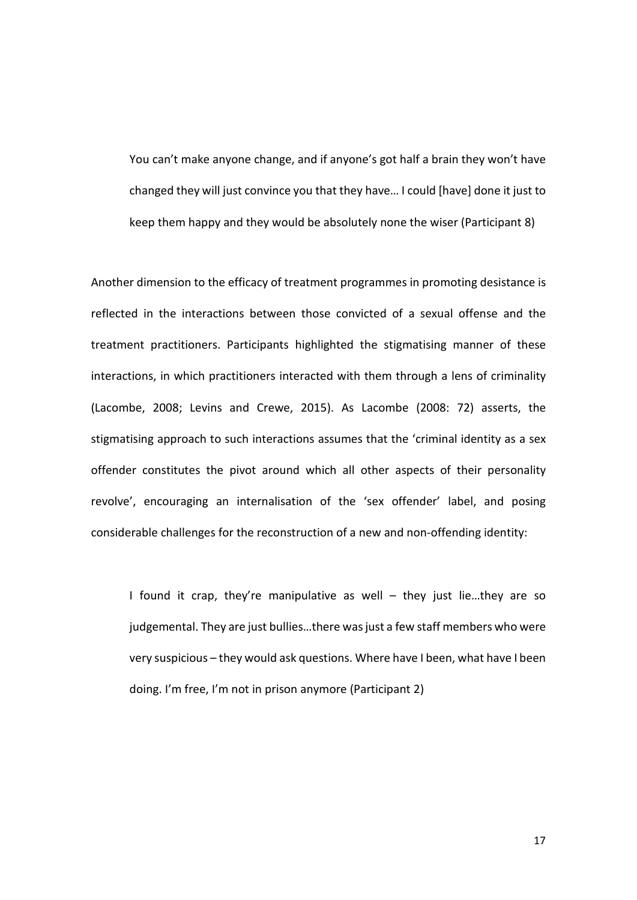You can't make anyone change, and if anyone's got half a brain they won't have changed they will just convince you that they have… I could [have] done it just to keep them happy and they would be absolutely none the wiser (Participant 8)

Another dimension to the efficacy of treatment programmes in promoting desistance is reflected in the interactions between those convicted of a sexual offense and the treatment practitioners. Participants highlighted the stigmatising manner of these interactions, in which practitioners interacted with them through a lens of criminality (Lacombe, 2008; Levins and Crewe, 2015). As Lacombe (2008: 72) asserts, the stigmatising approach to such interactions assumes that the 'criminal identity as a sex offender constitutes the pivot around which all other aspects of their personality revolve', encouraging an internalisation of the 'sex offender' label, and posing considerable challenges for the reconstruction of a new and non-offending identity:

I found it crap, they're manipulative as well – they just lie...they are so judgemental. They are just bullies…there was just a few staff members who were very suspicious – they would ask questions. Where have I been, what have I been doing. I'm free, I'm not in prison anymore (Participant 2)

17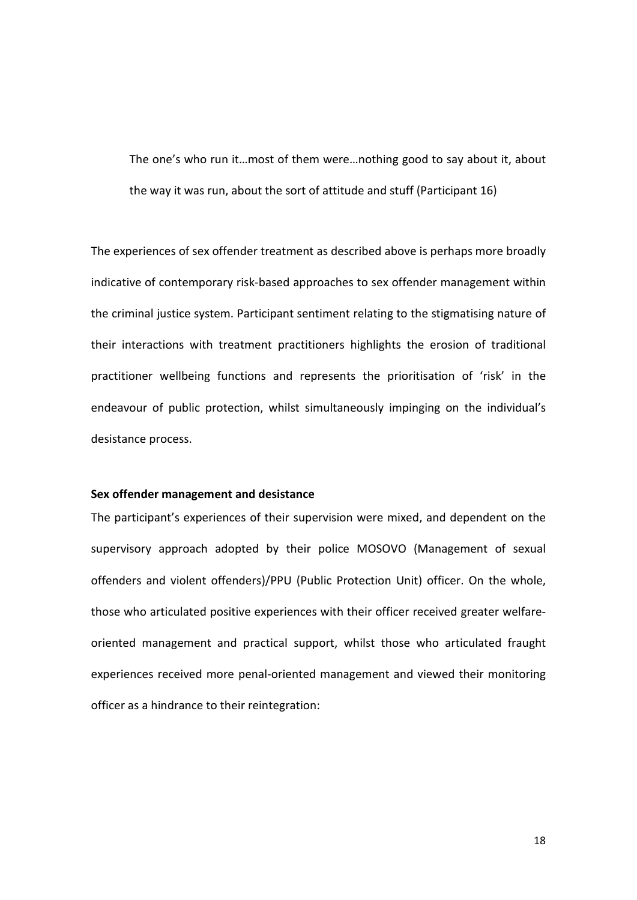The one's who run it…most of them were…nothing good to say about it, about the way it was run, about the sort of attitude and stuff (Participant 16)

The experiences of sex offender treatment as described above is perhaps more broadly indicative of contemporary risk-based approaches to sex offender management within the criminal justice system. Participant sentiment relating to the stigmatising nature of their interactions with treatment practitioners highlights the erosion of traditional practitioner wellbeing functions and represents the prioritisation of 'risk' in the endeavour of public protection, whilst simultaneously impinging on the individual's desistance process.

### **Sex offender management and desistance**

The participant's experiences of their supervision were mixed, and dependent on the supervisory approach adopted by their police MOSOVO (Management of sexual offenders and violent offenders)/PPU (Public Protection Unit) officer. On the whole, those who articulated positive experiences with their officer received greater welfareoriented management and practical support, whilst those who articulated fraught experiences received more penal-oriented management and viewed their monitoring officer as a hindrance to their reintegration: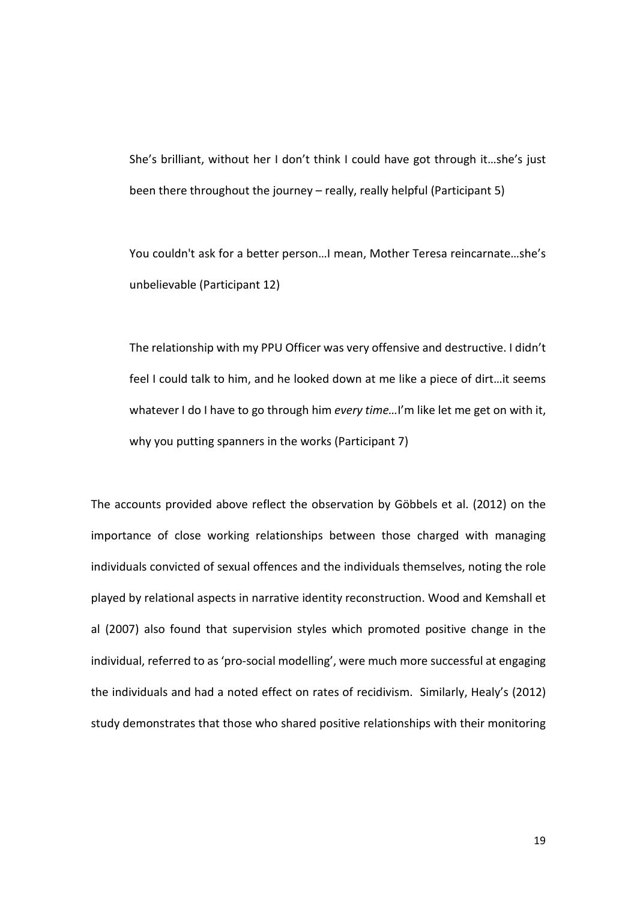She's brilliant, without her I don't think I could have got through it…she's just been there throughout the journey – really, really helpful (Participant 5)

You couldn't ask for a better person…I mean, Mother Teresa reincarnate…she's unbelievable (Participant 12)

The relationship with my PPU Officer was very offensive and destructive. I didn't feel I could talk to him, and he looked down at me like a piece of dirt…it seems whatever I do I have to go through him *every time…*I'm like let me get on with it, why you putting spanners in the works (Participant 7)

The accounts provided above reflect the observation by Göbbels et al. (2012) on the importance of close working relationships between those charged with managing individuals convicted of sexual offences and the individuals themselves, noting the role played by relational aspects in narrative identity reconstruction. Wood and Kemshall et al (2007) also found that supervision styles which promoted positive change in the individual, referred to as 'pro-social modelling', were much more successful at engaging the individuals and had a noted effect on rates of recidivism. Similarly, Healy's (2012) study demonstrates that those who shared positive relationships with their monitoring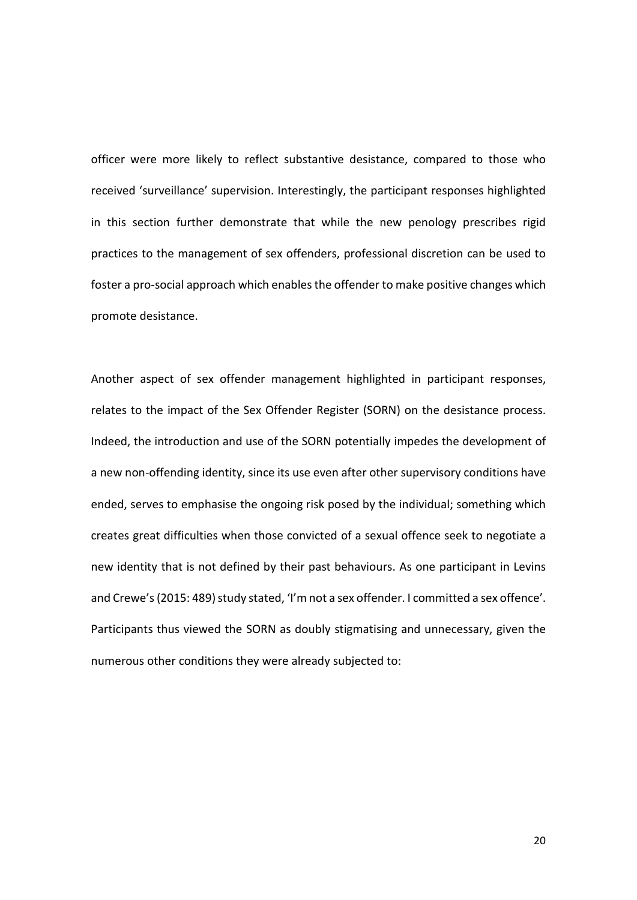officer were more likely to reflect substantive desistance, compared to those who received 'surveillance' supervision. Interestingly, the participant responses highlighted in this section further demonstrate that while the new penology prescribes rigid practices to the management of sex offenders, professional discretion can be used to foster a pro-social approach which enables the offender to make positive changes which promote desistance.

Another aspect of sex offender management highlighted in participant responses, relates to the impact of the Sex Offender Register (SORN) on the desistance process. Indeed, the introduction and use of the SORN potentially impedes the development of a new non-offending identity, since its use even after other supervisory conditions have ended, serves to emphasise the ongoing risk posed by the individual; something which creates great difficulties when those convicted of a sexual offence seek to negotiate a new identity that is not defined by their past behaviours. As one participant in Levins and Crewe's (2015: 489) study stated, 'I'm not a sex offender. I committed a sex offence'. Participants thus viewed the SORN as doubly stigmatising and unnecessary, given the numerous other conditions they were already subjected to: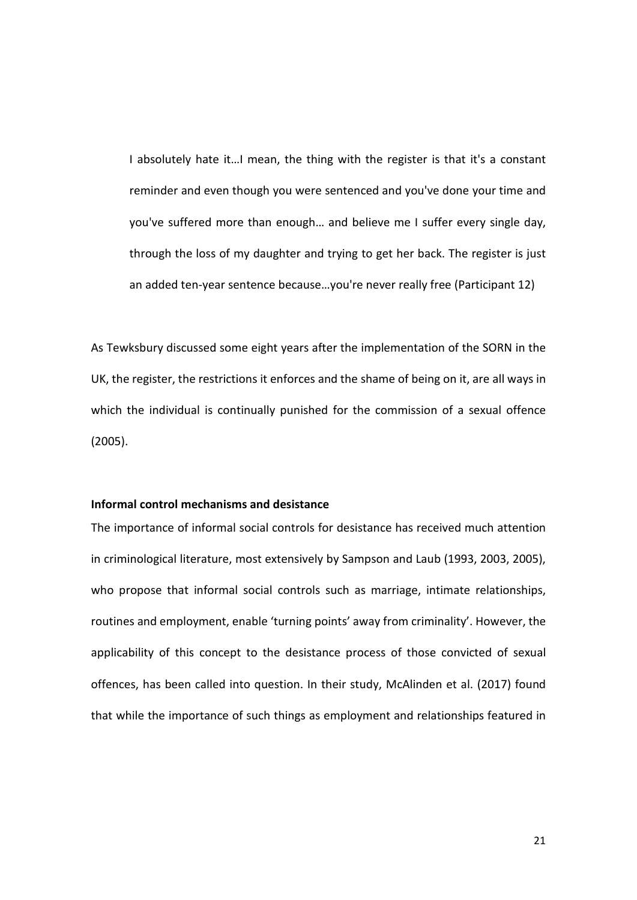I absolutely hate it...I mean, the thing with the register is that it's a constant reminder and even though you were sentenced and you've done your time and you've suffered more than enough… and believe me I suffer every single day, through the loss of my daughter and trying to get her back. The register is just an added ten-year sentence because…you're never really free (Participant 12)

As Tewksbury discussed some eight years after the implementation of the SORN in the UK, the register, the restrictions it enforces and the shame of being on it, are all ways in which the individual is continually punished for the commission of a sexual offence (2005).

### **Informal control mechanisms and desistance**

The importance of informal social controls for desistance has received much attention in criminological literature, most extensively by Sampson and Laub (1993, 2003, 2005), who propose that informal social controls such as marriage, intimate relationships, routines and employment, enable 'turning points' away from criminality'. However, the applicability of this concept to the desistance process of those convicted of sexual offences, has been called into question. In their study, McAlinden et al. (2017) found that while the importance of such things as employment and relationships featured in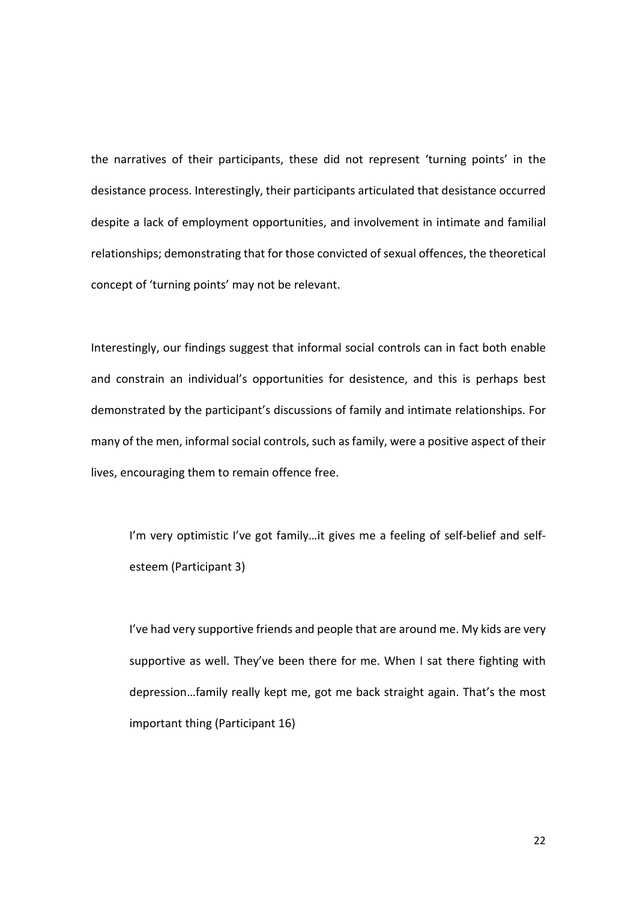the narratives of their participants, these did not represent 'turning points' in the desistance process. Interestingly, their participants articulated that desistance occurred despite a lack of employment opportunities, and involvement in intimate and familial relationships; demonstrating that for those convicted of sexual offences, the theoretical concept of 'turning points' may not be relevant.

Interestingly, our findings suggest that informal social controls can in fact both enable and constrain an individual's opportunities for desistence, and this is perhaps best demonstrated by the participant's discussions of family and intimate relationships. For many of the men, informal social controls, such as family, were a positive aspect of their lives, encouraging them to remain offence free.

I'm very optimistic I've got family…it gives me a feeling of self-belief and selfesteem (Participant 3)

I've had very supportive friends and people that are around me. My kids are very supportive as well. They've been there for me. When I sat there fighting with depression…family really kept me, got me back straight again. That's the most important thing (Participant 16)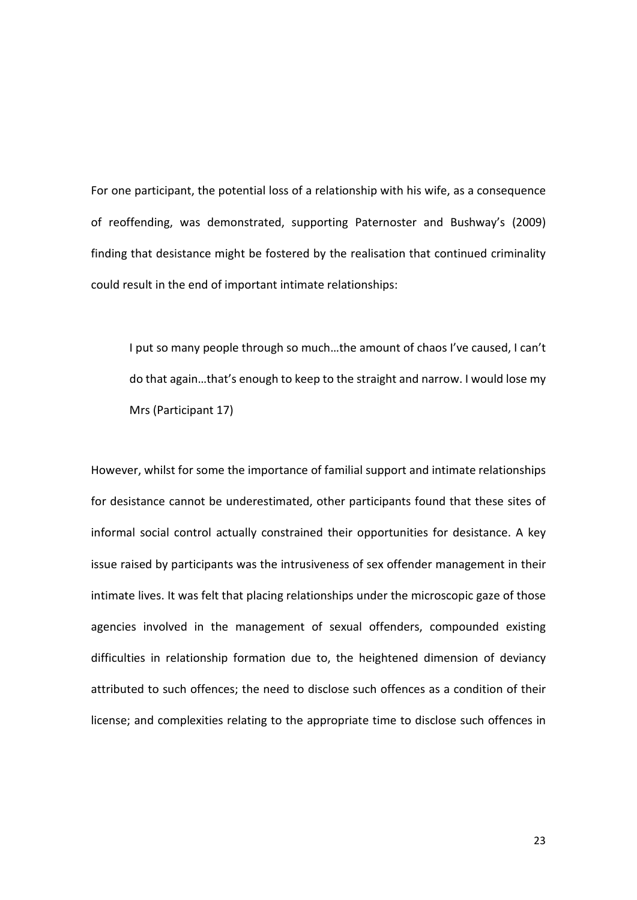For one participant, the potential loss of a relationship with his wife, as a consequence of reoffending, was demonstrated, supporting Paternoster and Bushway's (2009) finding that desistance might be fostered by the realisation that continued criminality could result in the end of important intimate relationships:

I put so many people through so much…the amount of chaos I've caused, I can't do that again…that's enough to keep to the straight and narrow. I would lose my Mrs (Participant 17)

However, whilst for some the importance of familial support and intimate relationships for desistance cannot be underestimated, other participants found that these sites of informal social control actually constrained their opportunities for desistance. A key issue raised by participants was the intrusiveness of sex offender management in their intimate lives. It was felt that placing relationships under the microscopic gaze of those agencies involved in the management of sexual offenders, compounded existing difficulties in relationship formation due to, the heightened dimension of deviancy attributed to such offences; the need to disclose such offences as a condition of their license; and complexities relating to the appropriate time to disclose such offences in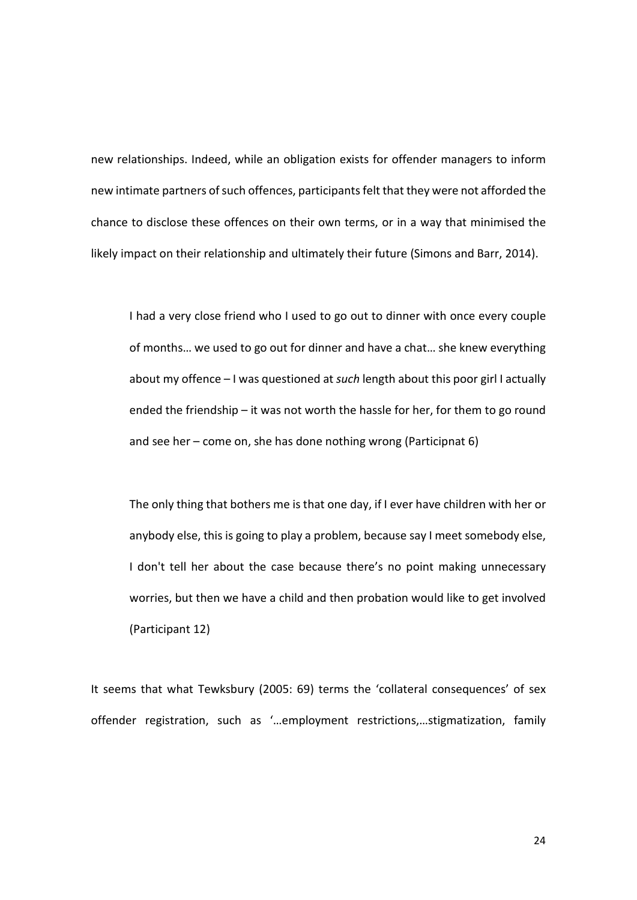new relationships. Indeed, while an obligation exists for offender managers to inform new intimate partners of such offences, participants felt that they were not afforded the chance to disclose these offences on their own terms, or in a way that minimised the likely impact on their relationship and ultimately their future (Simons and Barr, 2014).

I had a very close friend who I used to go out to dinner with once every couple of months… we used to go out for dinner and have a chat… she knew everything about my offence – I was questioned at *such* length about this poor girl I actually ended the friendship – it was not worth the hassle for her, for them to go round and see her – come on, she has done nothing wrong (Participnat 6)

The only thing that bothers me is that one day, if I ever have children with her or anybody else, this is going to play a problem, because say I meet somebody else, I don't tell her about the case because there's no point making unnecessary worries, but then we have a child and then probation would like to get involved (Participant 12)

It seems that what Tewksbury (2005: 69) terms the 'collateral consequences' of sex offender registration, such as '…employment restrictions,…stigmatization, family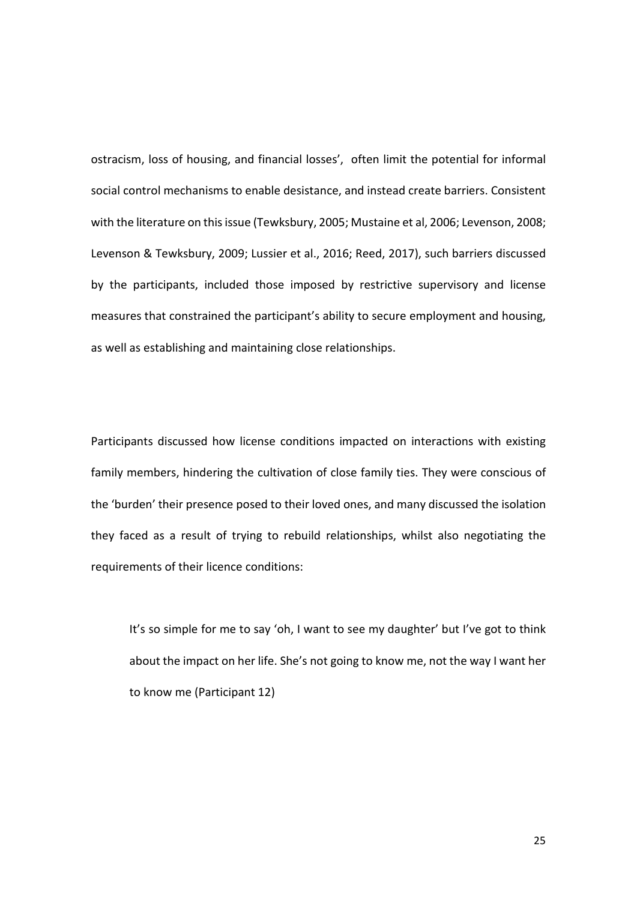ostracism, loss of housing, and financial losses', often limit the potential for informal social control mechanisms to enable desistance, and instead create barriers. Consistent with the literature on this issue (Tewksbury, 2005; Mustaine et al, 2006; Levenson, 2008; Levenson & Tewksbury, 2009; Lussier et al., 2016; Reed, 2017), such barriers discussed by the participants, included those imposed by restrictive supervisory and license measures that constrained the participant's ability to secure employment and housing, as well as establishing and maintaining close relationships.

Participants discussed how license conditions impacted on interactions with existing family members, hindering the cultivation of close family ties. They were conscious of the 'burden' their presence posed to their loved ones, and many discussed the isolation they faced as a result of trying to rebuild relationships, whilst also negotiating the requirements of their licence conditions:

It's so simple for me to say 'oh, I want to see my daughter' but I've got to think about the impact on her life. She's not going to know me, not the way I want her to know me (Participant 12)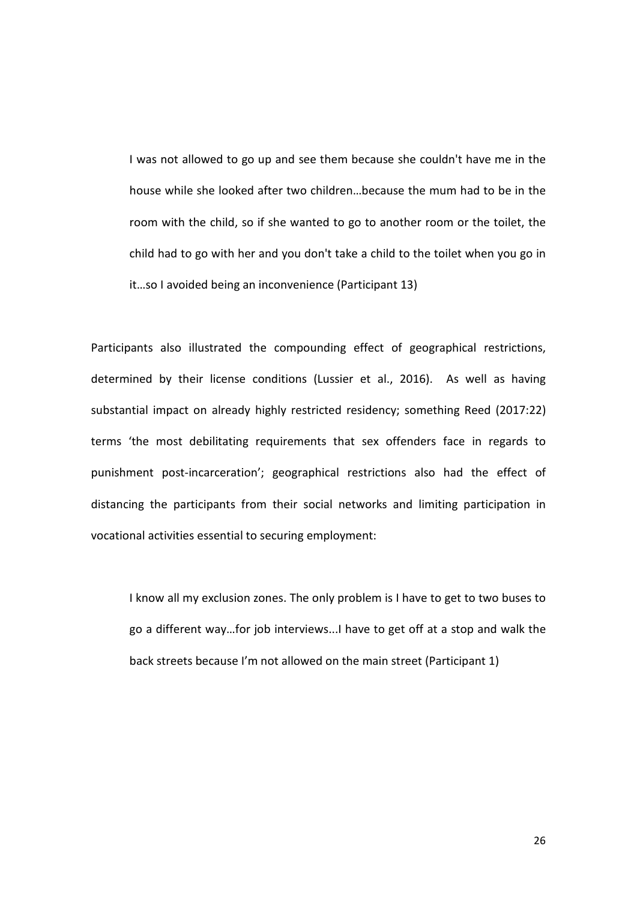I was not allowed to go up and see them because she couldn't have me in the house while she looked after two children…because the mum had to be in the room with the child, so if she wanted to go to another room or the toilet, the child had to go with her and you don't take a child to the toilet when you go in it…so I avoided being an inconvenience (Participant 13)

Participants also illustrated the compounding effect of geographical restrictions, determined by their license conditions (Lussier et al., 2016). As well as having substantial impact on already highly restricted residency; something Reed (2017:22) terms 'the most debilitating requirements that sex offenders face in regards to punishment post-incarceration'; geographical restrictions also had the effect of distancing the participants from their social networks and limiting participation in vocational activities essential to securing employment:

I know all my exclusion zones. The only problem is I have to get to two buses to go a different way…for job interviews...I have to get off at a stop and walk the back streets because I'm not allowed on the main street (Participant 1)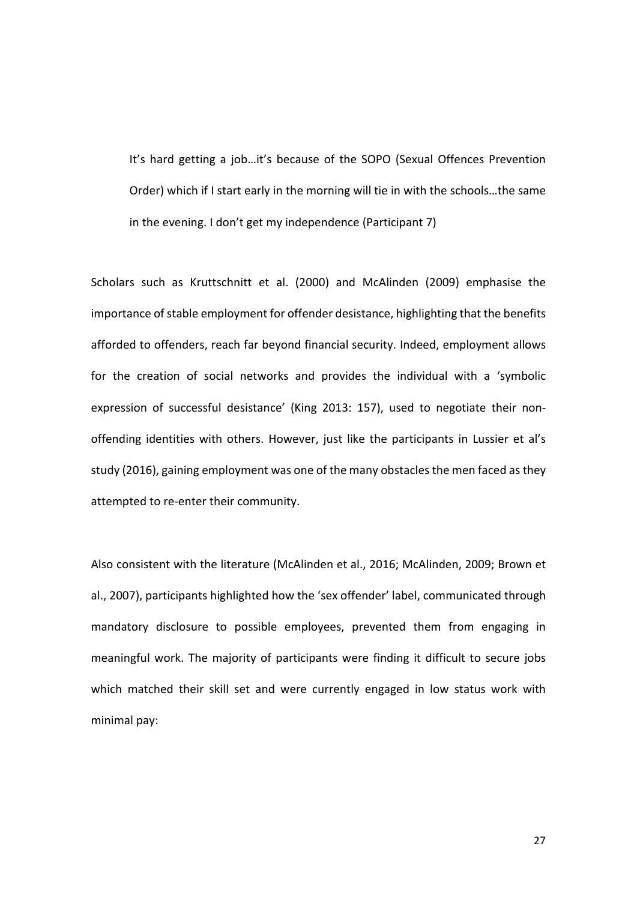It's hard getting a job…it's because of the SOPO (Sexual Offences Prevention Order) which if I start early in the morning will tie in with the schools…the same in the evening. I don't get my independence (Participant 7)

Scholars such as Kruttschnitt et al. (2000) and McAlinden (2009) emphasise the importance of stable employment for offender desistance, highlighting that the benefits afforded to offenders, reach far beyond financial security. Indeed, employment allows for the creation of social networks and provides the individual with a 'symbolic expression of successful desistance' (King 2013: 157), used to negotiate their nonoffending identities with others. However, just like the participants in Lussier et al's study (2016), gaining employment was one of the many obstacles the men faced as they attempted to re-enter their community.

Also consistent with the literature (McAlinden et al., 2016; McAlinden, 2009; Brown et al., 2007), participants highlighted how the 'sex offender' label, communicated through mandatory disclosure to possible employees, prevented them from engaging in meaningful work. The majority of participants were finding it difficult to secure jobs which matched their skill set and were currently engaged in low status work with minimal pay: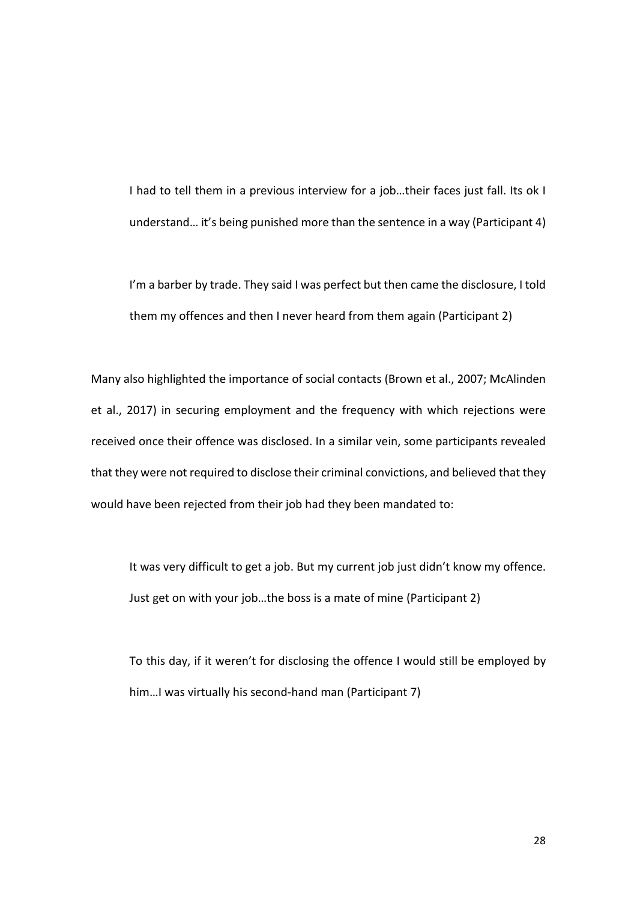I had to tell them in a previous interview for a job…their faces just fall. Its ok I understand… it's being punished more than the sentence in a way (Participant 4)

I'm a barber by trade. They said I was perfect but then came the disclosure, I told them my offences and then I never heard from them again (Participant 2)

Many also highlighted the importance of social contacts (Brown et al., 2007; McAlinden et al., 2017) in securing employment and the frequency with which rejections were received once their offence was disclosed. In a similar vein, some participants revealed that they were not required to disclose their criminal convictions, and believed that they would have been rejected from their job had they been mandated to:

It was very difficult to get a job. But my current job just didn't know my offence. Just get on with your job…the boss is a mate of mine (Participant 2)

To this day, if it weren't for disclosing the offence I would still be employed by him…I was virtually his second-hand man (Participant 7)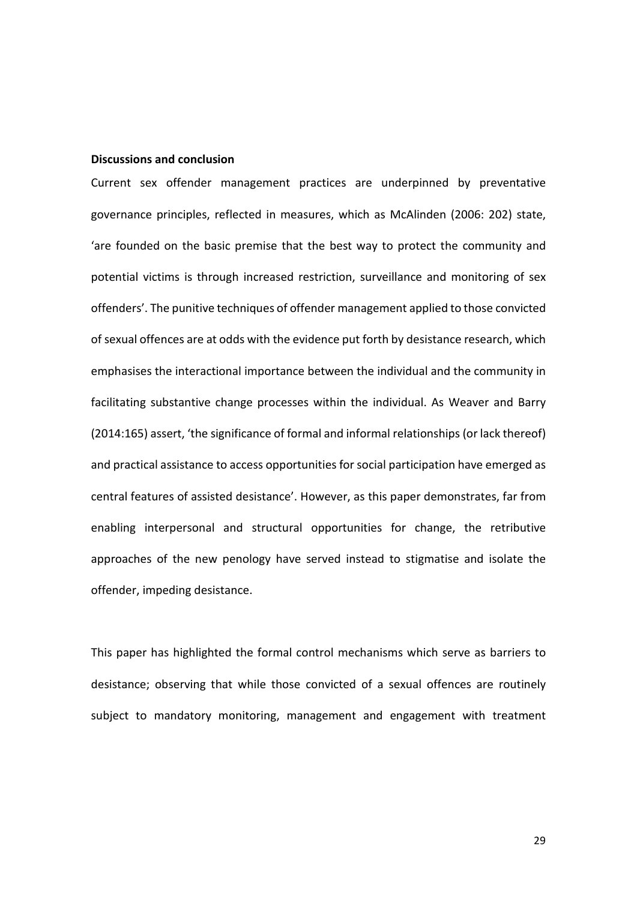### **Discussions and conclusion**

Current sex offender management practices are underpinned by preventative governance principles, reflected in measures, which as McAlinden (2006: 202) state, 'are founded on the basic premise that the best way to protect the community and potential victims is through increased restriction, surveillance and monitoring of sex offenders'. The punitive techniques of offender management applied to those convicted of sexual offences are at odds with the evidence put forth by desistance research, which emphasises the interactional importance between the individual and the community in facilitating substantive change processes within the individual. As Weaver and Barry (2014:165) assert, 'the significance of formal and informal relationships (or lack thereof) and practical assistance to access opportunities for social participation have emerged as central features of assisted desistance'. However, as this paper demonstrates, far from enabling interpersonal and structural opportunities for change, the retributive approaches of the new penology have served instead to stigmatise and isolate the offender, impeding desistance.

This paper has highlighted the formal control mechanisms which serve as barriers to desistance; observing that while those convicted of a sexual offences are routinely subject to mandatory monitoring, management and engagement with treatment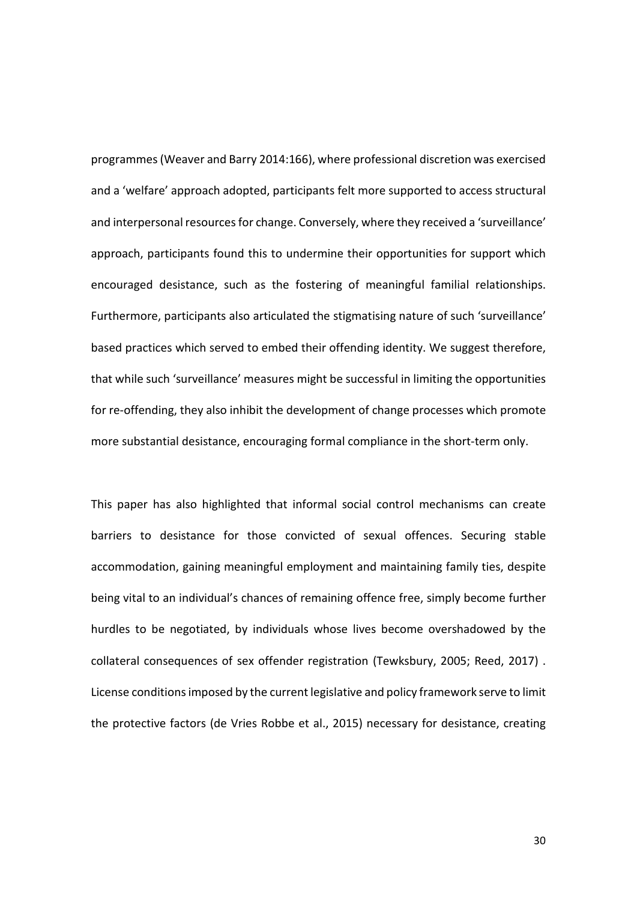programmes (Weaver and Barry 2014:166), where professional discretion was exercised and a 'welfare' approach adopted, participants felt more supported to access structural and interpersonal resources for change. Conversely, where they received a 'surveillance' approach, participants found this to undermine their opportunities for support which encouraged desistance, such as the fostering of meaningful familial relationships. Furthermore, participants also articulated the stigmatising nature of such 'surveillance' based practices which served to embed their offending identity. We suggest therefore, that while such 'surveillance' measures might be successful in limiting the opportunities for re-offending, they also inhibit the development of change processes which promote more substantial desistance, encouraging formal compliance in the short-term only.

This paper has also highlighted that informal social control mechanisms can create barriers to desistance for those convicted of sexual offences. Securing stable accommodation, gaining meaningful employment and maintaining family ties, despite being vital to an individual's chances of remaining offence free, simply become further hurdles to be negotiated, by individuals whose lives become overshadowed by the collateral consequences of sex offender registration (Tewksbury, 2005; Reed, 2017) . License conditions imposed by the current legislative and policy framework serve to limit the protective factors (de Vries Robbe et al., 2015) necessary for desistance, creating

30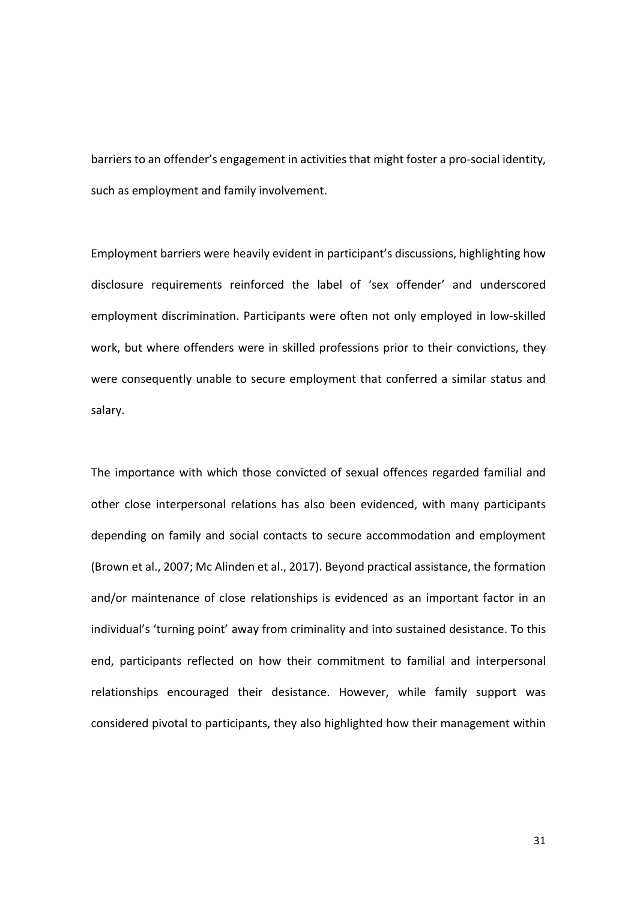barriers to an offender's engagement in activities that might foster a pro-social identity, such as employment and family involvement.

Employment barriers were heavily evident in participant's discussions, highlighting how disclosure requirements reinforced the label of 'sex offender' and underscored employment discrimination. Participants were often not only employed in low-skilled work, but where offenders were in skilled professions prior to their convictions, they were consequently unable to secure employment that conferred a similar status and salary.

The importance with which those convicted of sexual offences regarded familial and other close interpersonal relations has also been evidenced, with many participants depending on family and social contacts to secure accommodation and employment (Brown et al., 2007; Mc Alinden et al., 2017). Beyond practical assistance, the formation and/or maintenance of close relationships is evidenced as an important factor in an individual's 'turning point' away from criminality and into sustained desistance. To this end, participants reflected on how their commitment to familial and interpersonal relationships encouraged their desistance. However, while family support was considered pivotal to participants, they also highlighted how their management within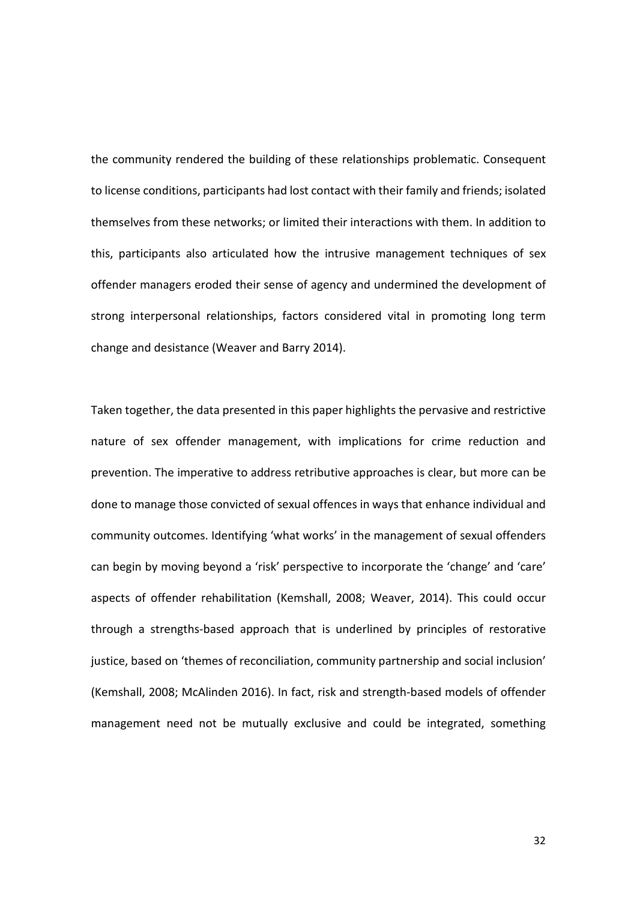the community rendered the building of these relationships problematic. Consequent to license conditions, participants had lost contact with their family and friends; isolated themselves from these networks; or limited their interactions with them. In addition to this, participants also articulated how the intrusive management techniques of sex offender managers eroded their sense of agency and undermined the development of strong interpersonal relationships, factors considered vital in promoting long term change and desistance (Weaver and Barry 2014).

Taken together, the data presented in this paper highlights the pervasive and restrictive nature of sex offender management, with implications for crime reduction and prevention. The imperative to address retributive approaches is clear, but more can be done to manage those convicted of sexual offences in ways that enhance individual and community outcomes. Identifying 'what works' in the management of sexual offenders can begin by moving beyond a 'risk' perspective to incorporate the 'change' and 'care' aspects of offender rehabilitation (Kemshall, 2008; Weaver, 2014). This could occur through a strengths-based approach that is underlined by principles of restorative justice, based on 'themes of reconciliation, community partnership and social inclusion' (Kemshall, 2008; McAlinden 2016). In fact, risk and strength-based models of offender management need not be mutually exclusive and could be integrated, something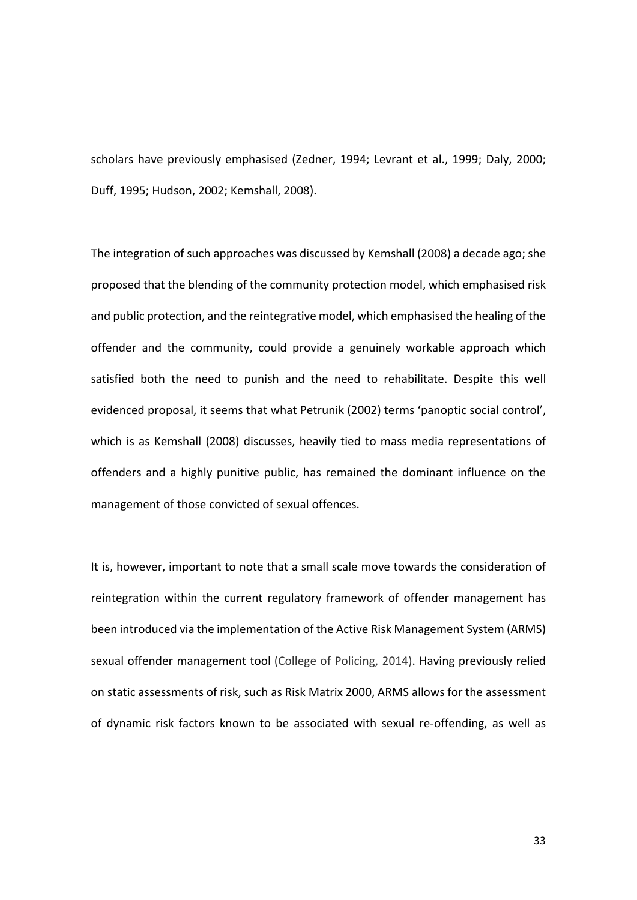scholars have previously emphasised (Zedner, 1994; Levrant et al., 1999; Daly, 2000; Duff, 1995; Hudson, 2002; Kemshall, 2008).

The integration of such approaches was discussed by Kemshall (2008) a decade ago; she proposed that the blending of the community protection model, which emphasised risk and public protection, and the reintegrative model, which emphasised the healing of the offender and the community, could provide a genuinely workable approach which satisfied both the need to punish and the need to rehabilitate. Despite this well evidenced proposal, it seems that what Petrunik (2002) terms 'panoptic social control', which is as Kemshall (2008) discusses, heavily tied to mass media representations of offenders and a highly punitive public, has remained the dominant influence on the management of those convicted of sexual offences.

It is, however, important to note that a small scale move towards the consideration of reintegration within the current regulatory framework of offender management has been introduced via the implementation of the Active Risk Management System (ARMS) sexual offender management tool (College of Policing, 2014). Having previously relied on static assessments of risk, such as Risk Matrix 2000, ARMS allows for the assessment of dynamic risk factors known to be associated with sexual re-offending, as well as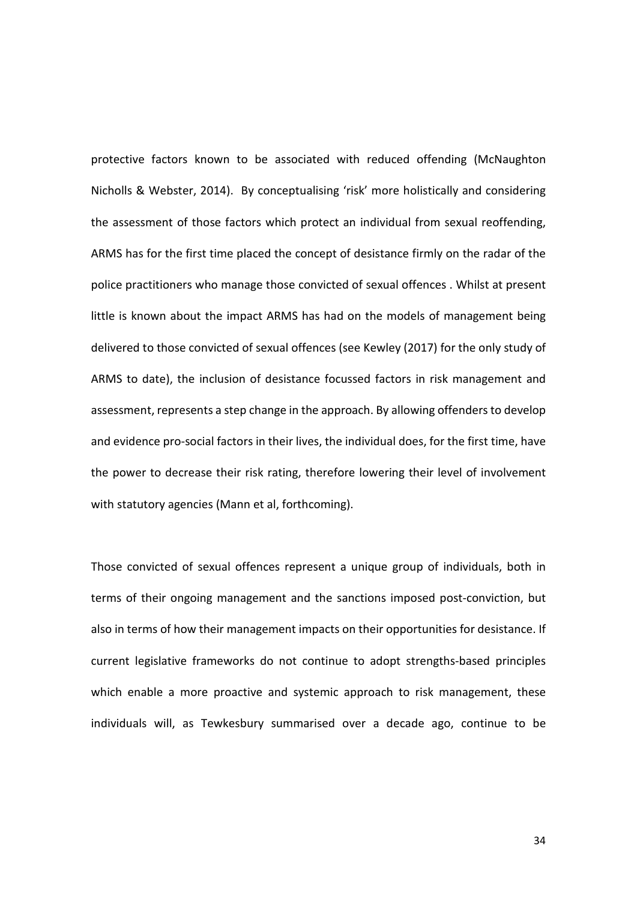protective factors known to be associated with reduced offending (McNaughton Nicholls & Webster, 2014). By conceptualising 'risk' more holistically and considering the assessment of those factors which protect an individual from sexual reoffending, ARMS has for the first time placed the concept of desistance firmly on the radar of the police practitioners who manage those convicted of sexual offences . Whilst at present little is known about the impact ARMS has had on the models of management being delivered to those convicted of sexual offences (see Kewley (2017) for the only study of ARMS to date), the inclusion of desistance focussed factors in risk management and assessment, represents a step change in the approach. By allowing offenders to develop and evidence pro-social factors in their lives, the individual does, for the first time, have the power to decrease their risk rating, therefore lowering their level of involvement with statutory agencies (Mann et al, forthcoming).

Those convicted of sexual offences represent a unique group of individuals, both in terms of their ongoing management and the sanctions imposed post-conviction, but also in terms of how their management impacts on their opportunities for desistance. If current legislative frameworks do not continue to adopt strengths-based principles which enable a more proactive and systemic approach to risk management, these individuals will, as Tewkesbury summarised over a decade ago, continue to be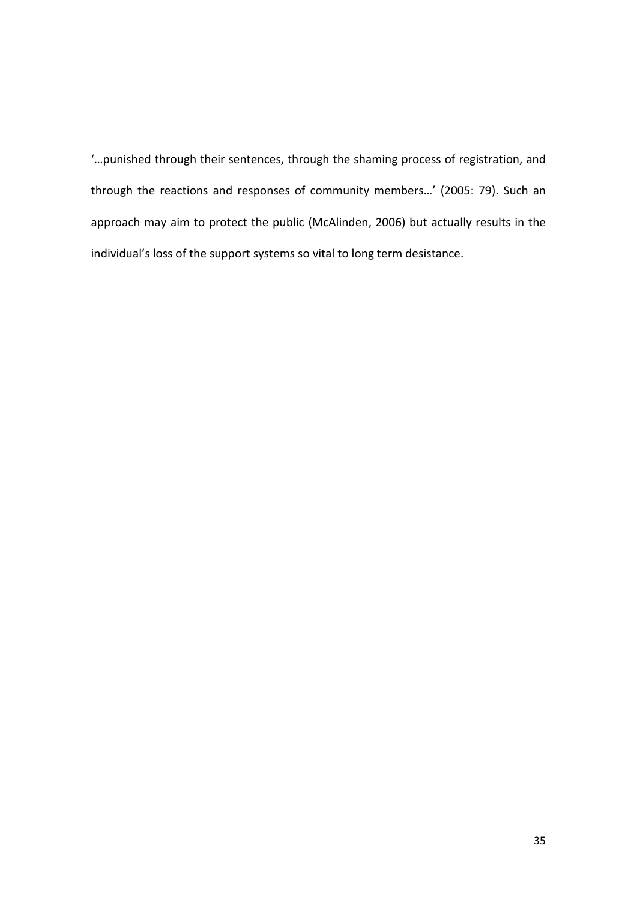'…punished through their sentences, through the shaming process of registration, and through the reactions and responses of community members…' (2005: 79). Such an approach may aim to protect the public (McAlinden, 2006) but actually results in the individual's loss of the support systems so vital to long term desistance.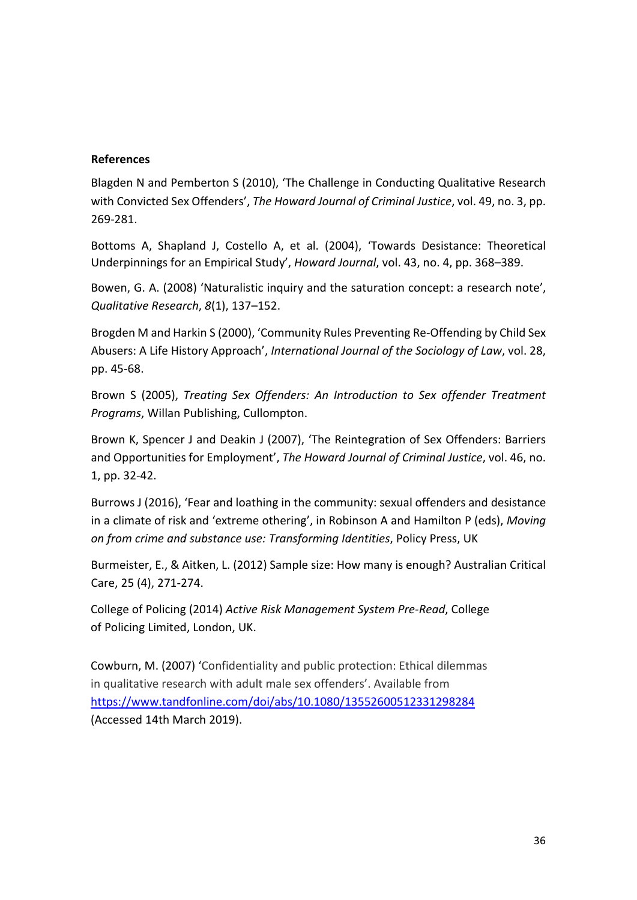# **References**

Blagden N and Pemberton S (2010), 'The Challenge in Conducting Qualitative Research with Convicted Sex Offenders', *The Howard Journal of Criminal Justice*, vol. 49, no. 3, pp. 269-281.

Bottoms A, Shapland J, Costello A, et al. (2004), 'Towards Desistance: Theoretical Underpinnings for an Empirical Study', *Howard Journal*, vol. 43, no. 4, pp. 368–389.

Bowen, G. A. (2008) 'Naturalistic inquiry and the saturation concept: a research note', *Qualitative Research*, *8*(1), 137–152.

Brogden M and Harkin S (2000), 'Community Rules Preventing Re-Offending by Child Sex Abusers: A Life History Approach', *International Journal of the Sociology of Law*, vol. 28, pp. 45-68.

Brown S (2005), *Treating Sex Offenders: An Introduction to Sex offender Treatment Programs*, Willan Publishing, Cullompton.

Brown K, Spencer J and Deakin J (2007), 'The Reintegration of Sex Offenders: Barriers and Opportunities for Employment', *The Howard Journal of Criminal Justice*, vol. 46, no. 1, pp. 32-42.

Burrows J (2016), 'Fear and loathing in the community: sexual offenders and desistance in a climate of risk and 'extreme othering', in Robinson A and Hamilton P (eds), *Moving on from crime and substance use: Transforming Identities*, Policy Press, UK

Burmeister, E., & Aitken, L. (2012) Sample size: How many is enough? Australian Critical Care, 25 (4), 271-274.

College of Policing (2014) *Active Risk Management System Pre-Read*, College of Policing Limited, London, UK.

Cowburn, M. (2007) 'Confidentiality and public protection: Ethical dilemmas in qualitative research with adult male sex offenders'. Available from <https://www.tandfonline.com/doi/abs/10.1080/13552600512331298284> (Accessed 14th March 2019).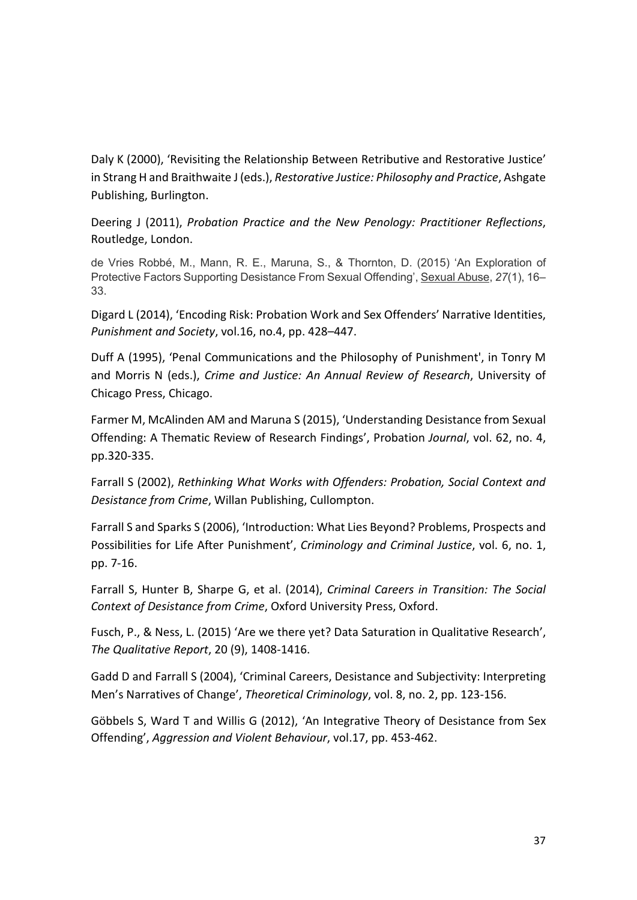Daly K (2000), 'Revisiting the Relationship Between Retributive and Restorative Justice' in Strang H and Braithwaite J (eds.), *Restorative Justice: Philosophy and Practice*, Ashgate Publishing, Burlington.

Deering J (2011), *Probation Practice and the New Penology: Practitioner Reflections*, Routledge, London.

de Vries Robbé, M., Mann, R. E., Maruna, S., & Thornton, D. (2015) 'An Exploration of Protective Factors Supporting Desistance From Sexual Offending', Sexual Abuse, *27*(1), 16– 33.

Digard L (2014), 'Encoding Risk: Probation Work and Sex Offenders' Narrative Identities, *Punishment and Society*, vol.16, no.4, pp. 428–447.

Duff A (1995), 'Penal Communications and the Philosophy of Punishment', in Tonry M and Morris N (eds.), *Crime and Justice: An Annual Review of Research*, University of Chicago Press, Chicago.

Farmer M, McAlinden AM and Maruna S (2015), 'Understanding Desistance from Sexual Offending: A Thematic Review of Research Findings', Probation *Journal*, vol. 62, no. 4, pp.320-335.

Farrall S (2002), *Rethinking What Works with Offenders: Probation, Social Context and Desistance from Crime*, Willan Publishing, Cullompton.

Farrall S and Sparks S (2006), 'Introduction: What Lies Beyond? Problems, Prospects and Possibilities for Life After Punishment', *Criminology and Criminal Justice*, vol. 6, no. 1, pp. 7-16.

Farrall S, Hunter B, Sharpe G, et al. (2014), *Criminal Careers in Transition: The Social Context of Desistance from Crime*, Oxford University Press, Oxford.

Fusch, P., & Ness, L. (2015) 'Are we there yet? Data Saturation in Qualitative Research', *The Qualitative Report*, 20 (9), 1408-1416.

Gadd D and Farrall S (2004), 'Criminal Careers, Desistance and Subjectivity: Interpreting Men's Narratives of Change', *Theoretical Criminology*, vol. 8, no. 2, pp. 123-156.

Göbbels S, Ward T and Willis G (2012), 'An Integrative Theory of Desistance from Sex Offending', *Aggression and Violent Behaviour*, vol.17, pp. 453-462.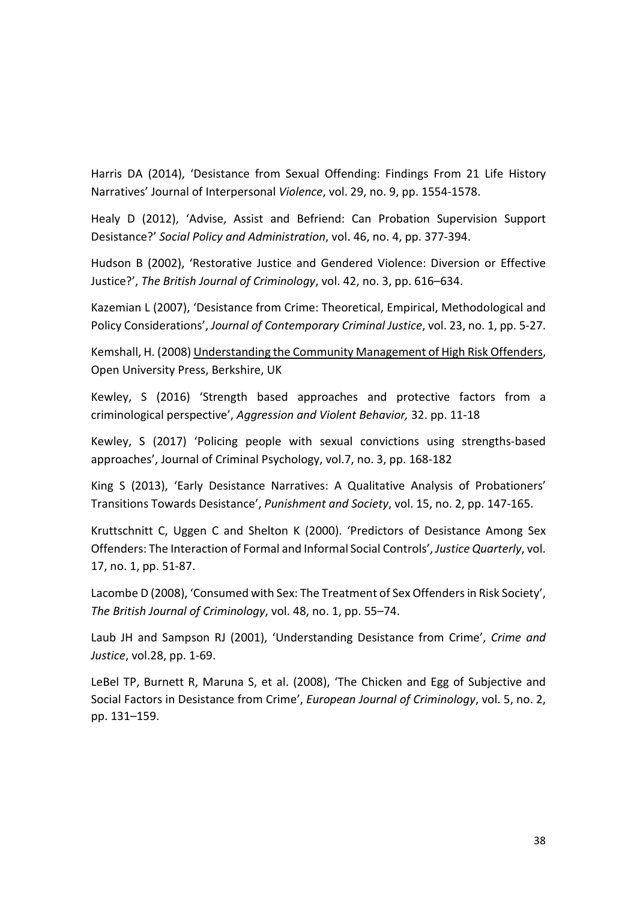Harris DA (2014), 'Desistance from Sexual Offending: Findings From 21 Life History Narratives' Journal of Interpersonal *Violence*, vol. 29, no. 9, pp. 1554-1578.

Healy D (2012), 'Advise, Assist and Befriend: Can Probation Supervision Support Desistance?' *Social Policy and Administration*, vol. 46, no. 4, pp. 377-394.

Hudson B (2002), 'Restorative Justice and Gendered Violence: Diversion or Effective Justice?', *The British Journal of Criminology*, vol. 42, no. 3, pp. 616–634.

Kazemian L (2007), 'Desistance from Crime: Theoretical, Empirical, Methodological and Policy Considerations', *Journal of Contemporary Criminal Justice*, vol. 23, no. 1, pp. 5-27.

Kemshall, H. (2008) Understanding the Community Management of High Risk Offenders, Open University Press, Berkshire, UK

Kewley, S (2016) 'Strength based approaches and protective factors from a criminological perspective', *Aggression and Violent Behavior,* 32. pp. 11-18

Kewley, S (2017) 'Policing people with sexual convictions using strengths-based approaches', Journal of Criminal Psychology, vol.7, no. 3, pp. 168-182

King S (2013), 'Early Desistance Narratives: A Qualitative Analysis of Probationers' Transitions Towards Desistance', *Punishment and Society*, vol. 15, no. 2, pp. 147-165.

Kruttschnitt C, Uggen C and Shelton K (2000). 'Predictors of Desistance Among Sex Offenders: The Interaction of Formal and Informal Social Controls', *Justice Quarterly*, vol. 17, no. 1, pp. 51-87.

Lacombe D (2008), 'Consumed with Sex: The Treatment of Sex Offenders in Risk Society', *The British Journal of Criminology*, vol. 48, no. 1, pp. 55–74.

Laub JH and Sampson RJ (2001), 'Understanding Desistance from Crime', *Crime and Justice*, vol.28, pp. 1-69.

LeBel TP, Burnett R, Maruna S, et al. (2008), 'The Chicken and Egg of Subjective and Social Factors in Desistance from Crime', *European Journal of Criminology*, vol. 5, no. 2, pp. 131–159.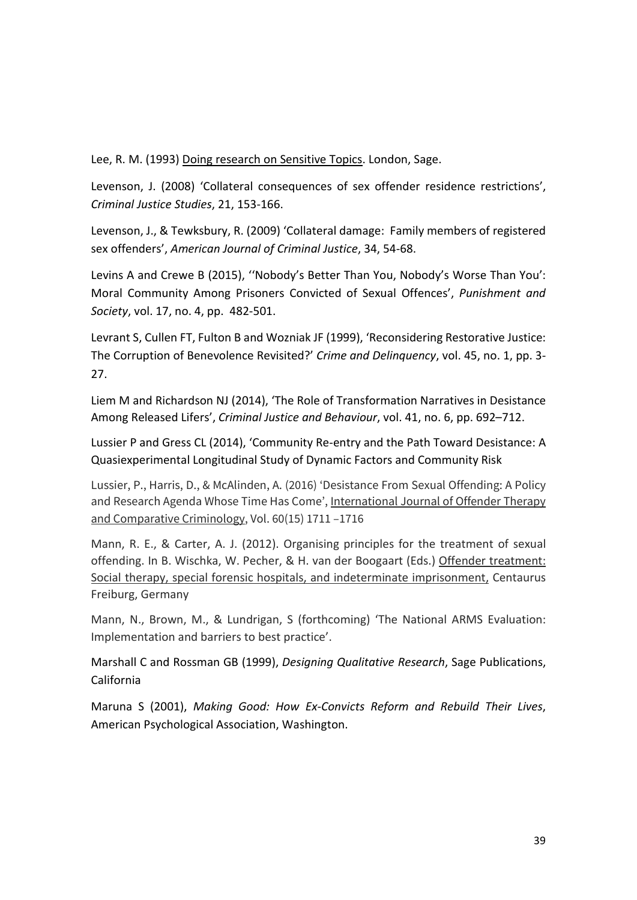Lee, R. M. (1993) Doing research on Sensitive Topics. London, Sage.

Levenson, J. (2008) 'Collateral consequences of sex offender residence restrictions', *Criminal Justice Studies*, 21, 153-166.

Levenson, J., & Tewksbury, R. (2009) 'Collateral damage: Family members of registered sex offenders', *American Journal of Criminal Justice*, 34, 54-68.

Levins A and Crewe B (2015), ''Nobody's Better Than You, Nobody's Worse Than You': Moral Community Among Prisoners Convicted of Sexual Offences', *Punishment and Society*, vol. 17, no. 4, pp. 482-501.

Levrant S, Cullen FT, Fulton B and Wozniak JF (1999), 'Reconsidering Restorative Justice: The Corruption of Benevolence Revisited?' *Crime and Delinquency*, vol. 45, no. 1, pp. 3- 27.

Liem M and Richardson NJ (2014), 'The Role of Transformation Narratives in Desistance Among Released Lifers', *Criminal Justice and Behaviour*, vol. 41, no. 6, pp. 692–712.

Lussier P and Gress CL (2014), 'Community Re-entry and the Path Toward Desistance: A Quasiexperimental Longitudinal Study of Dynamic Factors and Community Risk

Lussier, P., Harris, D., & McAlinden, A. (2016) 'Desistance From Sexual Offending: A Policy and Research Agenda Whose Time Has Come', International Journal of Offender Therapy and Comparative Criminology, Vol. 60(15) 1711 –1716

Mann, R. E., & Carter, A. J. (2012). Organising principles for the treatment of sexual offending. In B. Wischka, W. Pecher, & H. van der Boogaart (Eds.) Offender treatment: Social therapy, special forensic hospitals, and indeterminate imprisonment, Centaurus Freiburg, Germany

Mann, N., Brown, M., & Lundrigan, S (forthcoming) 'The National ARMS Evaluation: Implementation and barriers to best practice'.

Marshall C and Rossman GB (1999), *Designing Qualitative Research*, Sage Publications, California

Maruna S (2001), *Making Good: How Ex-Convicts Reform and Rebuild Their Lives*, American Psychological Association, Washington.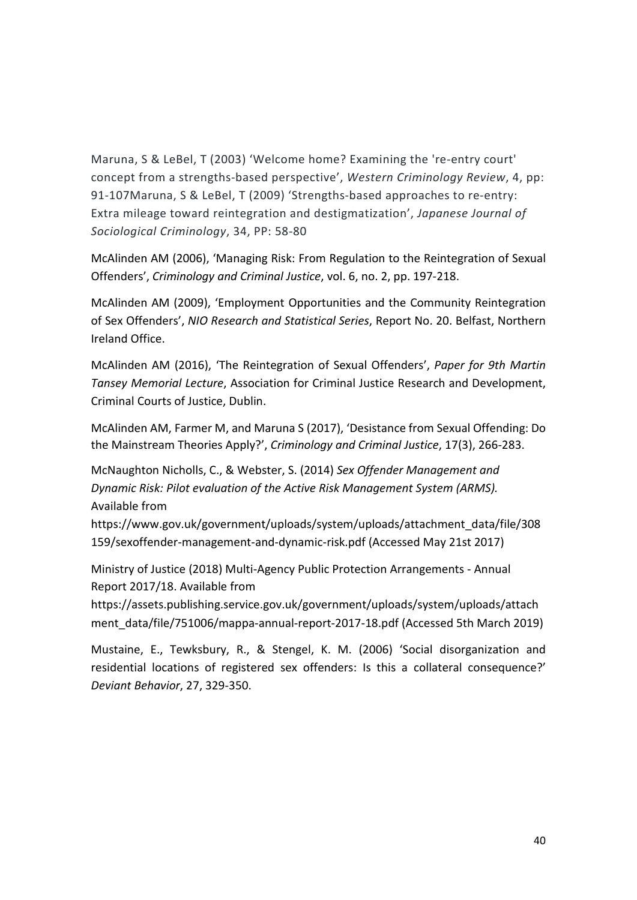Maruna, S & LeBel, T (2003) 'Welcome home? Examining the 're-entry court' concept from a strengths-based perspective', *Western Criminology Review*, 4, pp: 91-107Maruna, S & LeBel, T (2009) 'Strengths-based approaches to re-entry: Extra mileage toward reintegration and destigmatization', *Japanese Journal of Sociological Criminology*, 34, PP: 58-80

McAlinden AM (2006), 'Managing Risk: From Regulation to the Reintegration of Sexual Offenders', *Criminology and Criminal Justice*, vol. 6, no. 2, pp. 197-218.

McAlinden AM (2009), 'Employment Opportunities and the Community Reintegration of Sex Offenders', *NIO Research and Statistical Series*, Report No. 20. Belfast, Northern Ireland Office.

McAlinden AM (2016), 'The Reintegration of Sexual Offenders', *Paper for 9th Martin Tansey Memorial Lecture*, Association for Criminal Justice Research and Development, Criminal Courts of Justice, Dublin.

McAlinden AM, Farmer M, and Maruna S (2017), 'Desistance from Sexual Offending: Do the Mainstream Theories Apply?', *Criminology and Criminal Justice*, 17(3), 266-283.

McNaughton Nicholls, C., & Webster, S. (2014) *Sex Offender Management and Dynamic Risk: Pilot evaluation of the Active Risk Management System (ARMS).* Available from

https://www.gov.uk/government/uploads/system/uploads/attachment\_data/file/308 159/sexoffender-management-and-dynamic-risk.pdf (Accessed May 21st 2017)

Ministry of Justice (2018) Multi-Agency Public Protection Arrangements - Annual Report 2017/18. Available from

https://assets.publishing.service.gov.uk/government/uploads/system/uploads/attach ment\_data/file/751006/mappa-annual-report-2017-18.pdf (Accessed 5th March 2019)

Mustaine, E., Tewksbury, R., & Stengel, K. M. (2006) 'Social disorganization and residential locations of registered sex offenders: Is this a collateral consequence?' *Deviant Behavior*, 27, 329-350.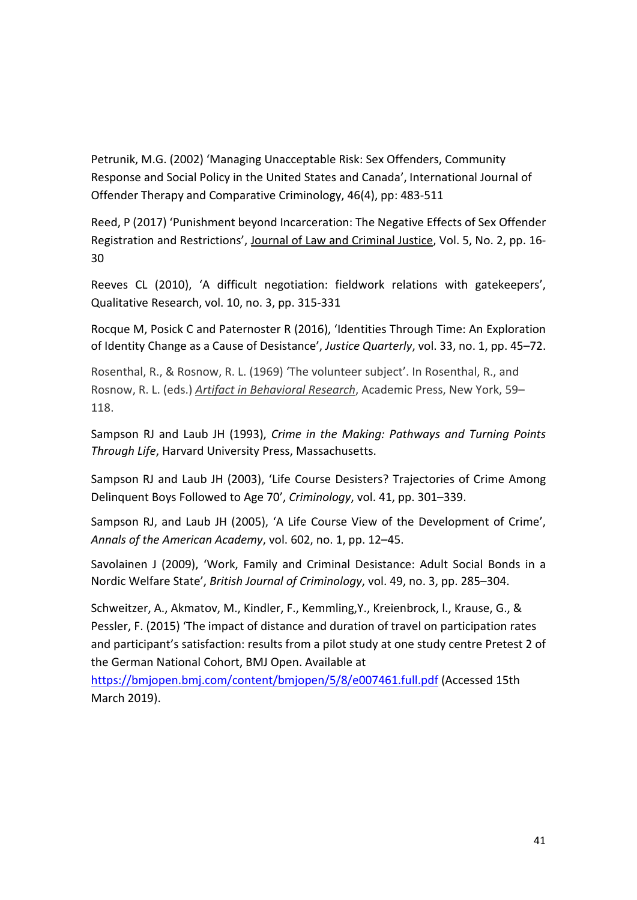Petrunik, M.G. (2002) 'Managing Unacceptable Risk: Sex Offenders, Community Response and Social Policy in the United States and Canada', International Journal of Offender Therapy and Comparative Criminology, 46(4), pp: 483-511

Reed, P (2017) 'Punishment beyond Incarceration: The Negative Effects of Sex Offender Registration and Restrictions', Journal of Law and Criminal Justice, Vol. 5, No. 2, pp. 16- 30

Reeves CL (2010), 'A difficult negotiation: fieldwork relations with gatekeepers', Qualitative Research, vol. 10, no. 3, pp. 315-331

Rocque M, Posick C and Paternoster R (2016), 'Identities Through Time: An Exploration of Identity Change as a Cause of Desistance', *Justice Quarterly*, vol. 33, no. 1, pp. 45–72.

Rosenthal, R., & Rosnow, R. L. (1969) 'The volunteer subject'. In Rosenthal, R., and Rosnow, R. L. (eds.) *Artifact in Behavioral Research*, Academic Press, New York, 59– 118.

Sampson RJ and Laub JH (1993), *Crime in the Making: Pathways and Turning Points Through Life*, Harvard University Press, Massachusetts.

Sampson RJ and Laub JH (2003), 'Life Course Desisters? Trajectories of Crime Among Delinquent Boys Followed to Age 70', *Criminology*, vol. 41, pp. 301–339.

Sampson RJ, and Laub JH (2005), 'A Life Course View of the Development of Crime', *Annals of the American Academy*, vol. 602, no. 1, pp. 12–45.

Savolainen J (2009), 'Work, Family and Criminal Desistance: Adult Social Bonds in a Nordic Welfare State', *British Journal of Criminology*, vol. 49, no. 3, pp. 285–304.

Schweitzer, A., Akmatov, M., Kindler, F., Kemmling,Y., Kreienbrock, l., Krause, G., & Pessler, F. (2015) 'The impact of distance and duration of travel on participation rates and participant's satisfaction: results from a pilot study at one study centre Pretest 2 of the German National Cohort, BMJ Open. Available at

<https://bmjopen.bmj.com/content/bmjopen/5/8/e007461.full.pdf> (Accessed 15th March 2019).